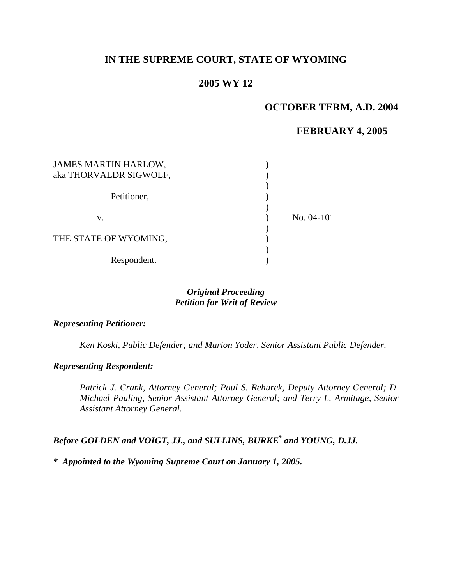# **IN THE SUPREME COURT, STATE OF WYOMING**

# **2005 WY 12**

# **OCTOBER TERM, A.D. 2004**

## **FEBRUARY 4, 2005**

| <b>JAMES MARTIN HARLOW,</b><br>aka THORVALDR SIGWOLF, |            |
|-------------------------------------------------------|------------|
| Petitioner,                                           |            |
| V.                                                    | No. 04-101 |
| THE STATE OF WYOMING,                                 |            |
| Respondent.                                           |            |

### *Original Proceeding Petition for Writ of Review*

#### *Representing Petitioner:*

*Ken Koski, Public Defender; and Marion Yoder, Senior Assistant Public Defender.* 

### *Representing Respondent:*

*Patrick J. Crank, Attorney General; Paul S. Rehurek, Deputy Attorney General; D. Michael Pauling, Senior Assistant Attorney General; and Terry L. Armitage, Senior Assistant Attorney General.* 

*Before GOLDEN and VOIGT, JJ., and SULLINS, BURKE\* and YOUNG, D.JJ.*

*\* Appointed to the Wyoming Supreme Court on January 1, 2005.*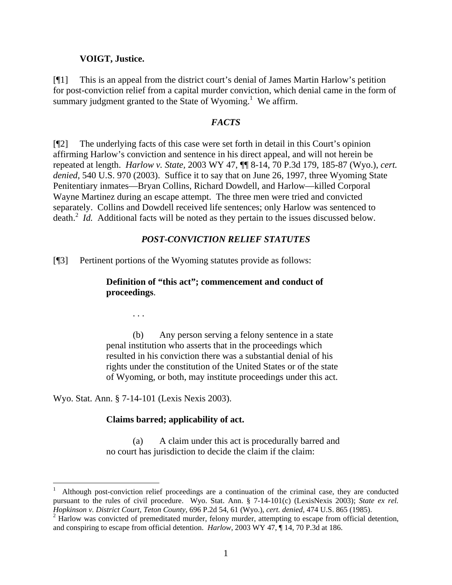#### **VOIGT, Justice.**

[¶1] This is an appeal from the district court's denial of James Martin Harlow's petition for post-conviction relief from a capital murder conviction, which denial came in the form of summaryjudgment granted to the State of Wyoming.<sup>1</sup> We affirm.

#### *FACTS*

[¶2] The underlying facts of this case were set forth in detail in this Court's opinion affirming Harlow's conviction and sentence in his direct appeal, and will not herein be repeated at length. *Harlow v. State,* 2003 WY 47, ¶¶ 8-14, 70 P.3d 179, 185-87 (Wyo.), *cert. denied*, 540 U.S. 970 (2003). Suffice it to say that on June 26, 1997, three Wyoming State Penitentiary inmates—Bryan Collins, Richard Dowdell, and Harlow—killed Corporal Wayne Martinez during an escape attempt. The three men were tried and convicted separately. Collins and Dowdell received life sentences; only Harlow was sentenced to death.<sup>[2](#page-1-1)</sup> *Id.* Additional facts will be noted as they pertain to the issues discussed below.

#### *POST-CONVICTION RELIEF STATUTES*

[¶3] Pertinent portions of the Wyoming statutes provide as follows:

### **Definition of "this act"; commencement and conduct of proceedings**.

. . .

(b) Any person serving a felony sentence in a state penal institution who asserts that in the proceedings which resulted in his conviction there was a substantial denial of his rights under the constitution of the United States or of the state of Wyoming, or both, may institute proceedings under this act.

Wyo. Stat. Ann. § 7-14-101 (Lexis Nexis 2003).

l

#### **Claims barred; applicability of act.**

(a) A claim under this act is procedurally barred and no court has jurisdiction to decide the claim if the claim:

<span id="page-1-0"></span><sup>1</sup> Although post-conviction relief proceedings are a continuation of the criminal case, they are conducted pursuant to the rules of civil procedure. Wyo. Stat. Ann. § 7-14-101(c) (LexisNexis 2003); *State ex rel.*

<span id="page-1-1"></span>*Hopkinson v. District Court, Teton County, 696 P.2d 54, 61 (Wyo.), cert. denied, 474 U.S. 865 (1985).*<br><sup>2</sup> Harlow was convicted of premeditated murder, felony murder, attempting to escape from official detention, and conspiring to escape from official detention. *Harlow*, 2003 WY 47, ¶ 14, 70 P.3d at 186.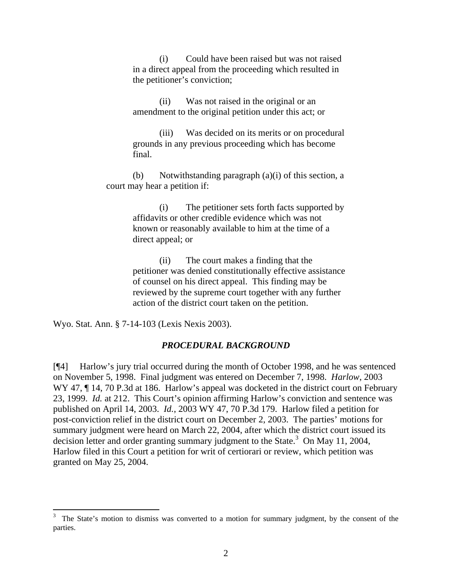(i) Could have been raised but was not raised in a direct appeal from the proceeding which resulted in the petitioner's conviction;

(ii) Was not raised in the original or an amendment to the original petition under this act; or

(iii) Was decided on its merits or on procedural grounds in any previous proceeding which has become final.

(b) Notwithstanding paragraph (a)(i) of this section, a court may hear a petition if:

> (i) The petitioner sets forth facts supported by affidavits or other credible evidence which was not known or reasonably available to him at the time of a direct appeal; or

> (ii) The court makes a finding that the petitioner was denied constitutionally effective assistance of counsel on his direct appeal. This finding may be reviewed by the supreme court together with any further action of the district court taken on the petition.

Wyo. Stat. Ann. § 7-14-103 (Lexis Nexis 2003).

#### *PROCEDURAL BACKGROUND*

[¶4] Harlow's jury trial occurred during the month of October 1998, and he was sentenced on November 5, 1998. Final judgment was entered on December 7, 1998. *Harlow*, 2003 WY 47,  $\P$  14, 70 P.3d at 186. Harlow's appeal was docketed in the district court on February 23, 1999. *Id.* at 212. This Court's opinion affirming Harlow's conviction and sentence was published on April 14, 2003. *Id.*, 2003 WY 47, 70 P.3d 179. Harlow filed a petition for post-conviction relief in the district court on December 2, 2003. The parties' motions for summary judgment were heard on March 22, 2004, after which the district court issued its decisionletter and order granting summary judgment to the State.<sup>3</sup> On May 11, 2004, Harlow filed in this Court a petition for writ of certiorari or review, which petition was granted on May 25, 2004.

<span id="page-2-0"></span><sup>&</sup>lt;sup>2</sup><br>3 The State's motion to dismiss was converted to a motion for summary judgment, by the consent of the parties.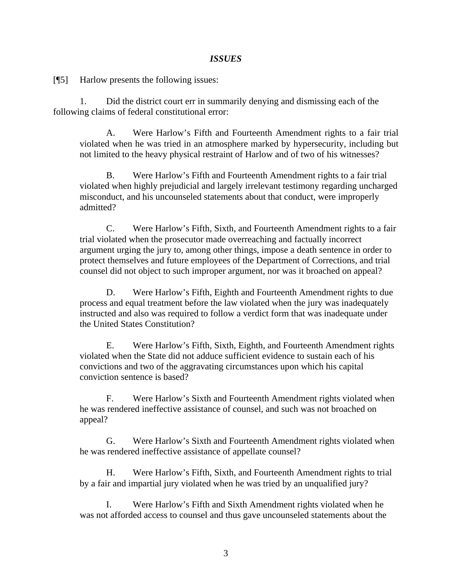### *ISSUES*

[¶5] Harlow presents the following issues:

1. Did the district court err in summarily denying and dismissing each of the following claims of federal constitutional error:

A. Were Harlow's Fifth and Fourteenth Amendment rights to a fair trial violated when he was tried in an atmosphere marked by hypersecurity, including but not limited to the heavy physical restraint of Harlow and of two of his witnesses?

B. Were Harlow's Fifth and Fourteenth Amendment rights to a fair trial violated when highly prejudicial and largely irrelevant testimony regarding uncharged misconduct, and his uncounseled statements about that conduct, were improperly admitted?

C. Were Harlow's Fifth, Sixth, and Fourteenth Amendment rights to a fair trial violated when the prosecutor made overreaching and factually incorrect argument urging the jury to, among other things, impose a death sentence in order to protect themselves and future employees of the Department of Corrections, and trial counsel did not object to such improper argument, nor was it broached on appeal?

D. Were Harlow's Fifth, Eighth and Fourteenth Amendment rights to due process and equal treatment before the law violated when the jury was inadequately instructed and also was required to follow a verdict form that was inadequate under the United States Constitution?

E. Were Harlow's Fifth, Sixth, Eighth, and Fourteenth Amendment rights violated when the State did not adduce sufficient evidence to sustain each of his convictions and two of the aggravating circumstances upon which his capital conviction sentence is based?

F. Were Harlow's Sixth and Fourteenth Amendment rights violated when he was rendered ineffective assistance of counsel, and such was not broached on appeal?

G. Were Harlow's Sixth and Fourteenth Amendment rights violated when he was rendered ineffective assistance of appellate counsel?

H. Were Harlow's Fifth, Sixth, and Fourteenth Amendment rights to trial by a fair and impartial jury violated when he was tried by an unqualified jury?

I. Were Harlow's Fifth and Sixth Amendment rights violated when he was not afforded access to counsel and thus gave uncounseled statements about the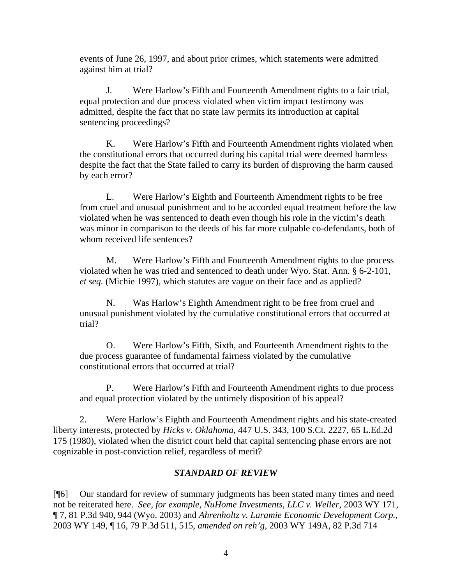events of June 26, 1997, and about prior crimes, which statements were admitted against him at trial?

J. Were Harlow's Fifth and Fourteenth Amendment rights to a fair trial, equal protection and due process violated when victim impact testimony was admitted, despite the fact that no state law permits its introduction at capital sentencing proceedings?

K. Were Harlow's Fifth and Fourteenth Amendment rights violated when the constitutional errors that occurred during his capital trial were deemed harmless despite the fact that the State failed to carry its burden of disproving the harm caused by each error?

L. Were Harlow's Eighth and Fourteenth Amendment rights to be free from cruel and unusual punishment and to be accorded equal treatment before the law violated when he was sentenced to death even though his role in the victim's death was minor in comparison to the deeds of his far more culpable co-defendants, both of whom received life sentences?

M. Were Harlow's Fifth and Fourteenth Amendment rights to due process violated when he was tried and sentenced to death under Wyo. Stat. Ann. § 6-2-101, *et seq.* (Michie 1997), which statutes are vague on their face and as applied?

N. Was Harlow's Eighth Amendment right to be free from cruel and unusual punishment violated by the cumulative constitutional errors that occurred at trial?

O. Were Harlow's Fifth, Sixth, and Fourteenth Amendment rights to the due process guarantee of fundamental fairness violated by the cumulative constitutional errors that occurred at trial?

P. Were Harlow's Fifth and Fourteenth Amendment rights to due process and equal protection violated by the untimely disposition of his appeal?

2. Were Harlow's Eighth and Fourteenth Amendment rights and his state-created liberty interests, protected by *Hicks v. Oklahoma,* 447 U.S. 343, 100 S.Ct. 2227, 65 L.Ed.2d 175 (1980), violated when the district court held that capital sentencing phase errors are not cognizable in post-conviction relief, regardless of merit?

# *STANDARD OF REVIEW*

[¶6] Our standard for review of summary judgments has been stated many times and need not be reiterated here. *See, for example, NuHome Investments, LLC v. Weller,* 2003 WY 171, ¶ 7, 81 P.3d 940, 944 (Wyo. 2003) and *Ahrenholtz v. Laramie Economic Development Corp.,*  2003 WY 149, ¶ 16, 79 P.3d 511, 515, *amended on reh'g*, 2003 WY 149A, 82 P.3d 714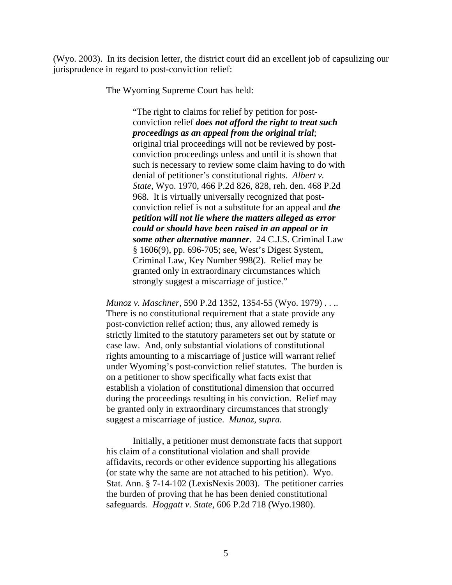(Wyo. 2003). In its decision letter, the district court did an excellent job of capsulizing our jurisprudence in regard to post-conviction relief:

The Wyoming Supreme Court has held:

"The right to claims for relief by petition for postconviction relief *does not afford the right to treat such proceedings as an appeal from the original trial*; original trial proceedings will not be reviewed by postconviction proceedings unless and until it is shown that such is necessary to review some claim having to do with denial of petitioner's constitutional rights. *Albert v. State,* Wyo. 1970, 466 P.2d 826, 828, reh. den. 468 P.2d 968. It is virtually universally recognized that postconviction relief is not a substitute for an appeal and *the petition will not lie where the matters alleged as error could or should have been raised in an appeal or in some other alternative manner*. 24 C.J.S. Criminal Law § 1606(9), pp. 696-705; see, West's Digest System, Criminal Law, Key Number 998(2). Relief may be granted only in extraordinary circumstances which strongly suggest a miscarriage of justice."

*Munoz v. Maschner,* 590 P.2d 1352, 1354-55 (Wyo. 1979) . . .. There is no constitutional requirement that a state provide any post-conviction relief action; thus, any allowed remedy is strictly limited to the statutory parameters set out by statute or case law. And, only substantial violations of constitutional rights amounting to a miscarriage of justice will warrant relief under Wyoming's post-conviction relief statutes. The burden is on a petitioner to show specifically what facts exist that establish a violation of constitutional dimension that occurred during the proceedings resulting in his conviction. Relief may be granted only in extraordinary circumstances that strongly suggest a miscarriage of justice. *Munoz, supra.*

Initially, a petitioner must demonstrate facts that support his claim of a constitutional violation and shall provide affidavits, records or other evidence supporting his allegations (or state why the same are not attached to his petition). Wyo. Stat. Ann. § 7-14-102 (LexisNexis 2003). The petitioner carries the burden of proving that he has been denied constitutional safeguards. *Hoggatt v. State,* 606 P.2d 718 (Wyo.1980).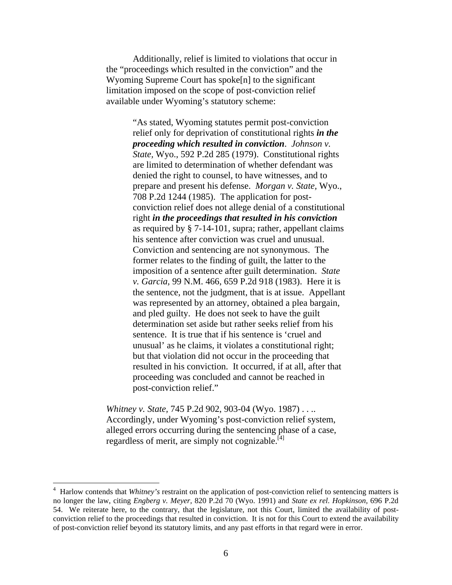Additionally, relief is limited to violations that occur in the "proceedings which resulted in the conviction" and the Wyoming Supreme Court has spoke[n] to the significant limitation imposed on the scope of post-conviction relief available under Wyoming's statutory scheme:

> "As stated, Wyoming statutes permit post-conviction relief only for deprivation of constitutional rights *in the proceeding which resulted in conviction*. *Johnson v. State,* Wyo., 592 P.2d 285 (1979). Constitutional rights are limited to determination of whether defendant was denied the right to counsel, to have witnesses, and to prepare and present his defense. *Morgan v. State,* Wyo., 708 P.2d 1244 (1985). The application for postconviction relief does not allege denial of a constitutional right *in the proceedings that resulted in his conviction* as required by § 7-14-101, supra; rather, appellant claims his sentence after conviction was cruel and unusual. Conviction and sentencing are not synonymous. The former relates to the finding of guilt, the latter to the imposition of a sentence after guilt determination. *State v. Garcia,* 99 N.M. 466, 659 P.2d 918 (1983). Here it is the sentence, not the judgment, that is at issue. Appellant was represented by an attorney, obtained a plea bargain, and pled guilty. He does not seek to have the guilt determination set aside but rather seeks relief from his sentence. It is true that if his sentence is 'cruel and unusual' as he claims, it violates a constitutional right; but that violation did not occur in the proceeding that resulted in his conviction. It occurred, if at all, after that proceeding was concluded and cannot be reached in post-conviction relief."

*Whitney v. State,* 745 P.2d 902, 903-04 (Wyo. 1987) . . .. Accordingly, under Wyoming's post-conviction relief system, alleged errors occurring during the sentencing phase of a case, regardless of merit, are simply not cognizable. $^{[4]}$  $^{[4]}$  $^{[4]}$ 

l

<span id="page-6-0"></span><sup>4</sup> Harlow contends that *Whitney's* restraint on the application of post-conviction relief to sentencing matters is no longer the law, citing *Engberg v. Meyer,* 820 P.2d 70 (Wyo. 1991) and *State ex rel. Hopkinson,* 696 P.2d 54. We reiterate here, to the contrary, that the legislature, not this Court, limited the availability of postconviction relief to the proceedings that resulted in conviction. It is not for this Court to extend the availability of post-conviction relief beyond its statutory limits, and any past efforts in that regard were in error.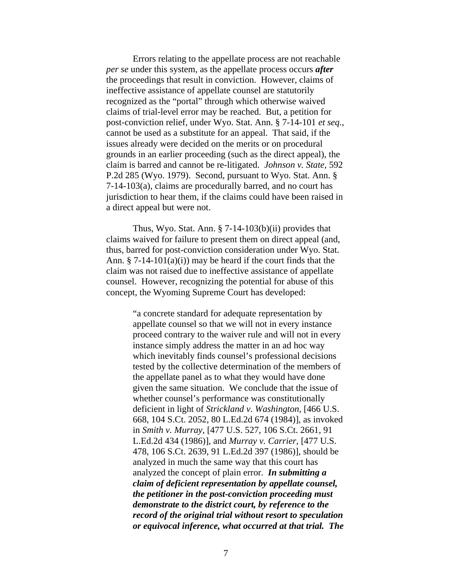Errors relating to the appellate process are not reachable *per se* under this system, as the appellate process occurs *after* the proceedings that result in conviction. However, claims of ineffective assistance of appellate counsel are statutorily recognized as the "portal" through which otherwise waived claims of trial-level error may be reached. But, a petition for post-conviction relief, under Wyo. Stat. Ann. § 7-14-101 *et seq.*, cannot be used as a substitute for an appeal. That said, if the issues already were decided on the merits or on procedural grounds in an earlier proceeding (such as the direct appeal), the claim is barred and cannot be re-litigated. *Johnson v. State,* 592 P.2d 285 (Wyo. 1979). Second, pursuant to Wyo. Stat. Ann. § 7-14-103(a), claims are procedurally barred, and no court has jurisdiction to hear them, if the claims could have been raised in a direct appeal but were not.

Thus, Wyo. Stat. Ann.  $\S$  7-14-103(b)(ii) provides that claims waived for failure to present them on direct appeal (and, thus, barred for post-conviction consideration under Wyo. Stat. Ann.  $\S$  7-14-101(a)(i)) may be heard if the court finds that the claim was not raised due to ineffective assistance of appellate counsel. However, recognizing the potential for abuse of this concept, the Wyoming Supreme Court has developed:

> "a concrete standard for adequate representation by appellate counsel so that we will not in every instance proceed contrary to the waiver rule and will not in every instance simply address the matter in an ad hoc way which inevitably finds counsel's professional decisions tested by the collective determination of the members of the appellate panel as to what they would have done given the same situation. We conclude that the issue of whether counsel's performance was constitutionally deficient in light of *Strickland v. Washington,* [466 U.S. 668, 104 S.Ct. 2052, 80 L.Ed.2d 674 (1984)], as invoked in *Smith v. Murray,* [477 U.S. 527, 106 S.Ct. 2661, 91 L.Ed.2d 434 (1986)], and *Murray v. Carrier,* [477 U.S. 478, 106 S.Ct. 2639, 91 L.Ed.2d 397 (1986)], should be analyzed in much the same way that this court has analyzed the concept of plain error. *In submitting a claim of deficient representation by appellate counsel, the petitioner in the post-conviction proceeding must demonstrate to the district court, by reference to the record of the original trial without resort to speculation or equivocal inference, what occurred at that trial. The*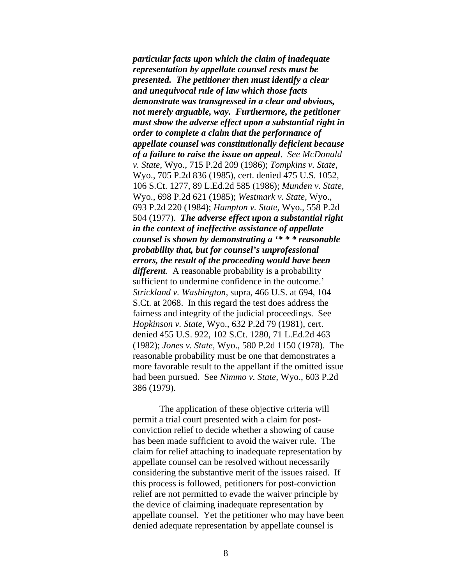*particular facts upon which the claim of inadequate representation by appellate counsel rests must be presented. The petitioner then must identify a clear and unequivocal rule of law which those facts demonstrate was transgressed in a clear and obvious, not merely arguable, way. Furthermore, the petitioner must show the adverse effect upon a substantial right in order to complete a claim that the performance of appellate counsel was constitutionally deficient because of a failure to raise the issue on appeal*. *See McDonald v. State,* Wyo., 715 P.2d 209 (1986); *Tompkins v. State,*  Wyo., 705 P.2d 836 (1985), cert. denied 475 U.S. 1052, 106 S.Ct. 1277, 89 L.Ed.2d 585 (1986); *Munden v. State,*  Wyo., 698 P.2d 621 (1985); *Westmark v. State,* Wyo., 693 P.2d 220 (1984); *Hampton v. State,* Wyo., 558 P.2d 504 (1977). *The adverse effect upon a substantial right in the context of ineffective assistance of appellate counsel is shown by demonstrating a '\* \* \* reasonable probability that, but for counsel's unprofessional errors, the result of the proceeding would have been different*. A reasonable probability is a probability sufficient to undermine confidence in the outcome.' *Strickland v. Washington,* supra, 466 U.S. at 694, 104 S.Ct. at 2068. In this regard the test does address the fairness and integrity of the judicial proceedings. See *Hopkinson v. State,* Wyo., 632 P.2d 79 (1981), cert. denied 455 U.S. 922, 102 S.Ct. 1280, 71 L.Ed.2d 463 (1982); *Jones v. State,* Wyo., 580 P.2d 1150 (1978). The reasonable probability must be one that demonstrates a more favorable result to the appellant if the omitted issue had been pursued. See *Nimmo v. State,* Wyo., 603 P.2d 386 (1979).

The application of these objective criteria will permit a trial court presented with a claim for postconviction relief to decide whether a showing of cause has been made sufficient to avoid the waiver rule. The claim for relief attaching to inadequate representation by appellate counsel can be resolved without necessarily considering the substantive merit of the issues raised. If this process is followed, petitioners for post-conviction relief are not permitted to evade the waiver principle by the device of claiming inadequate representation by appellate counsel. Yet the petitioner who may have been denied adequate representation by appellate counsel is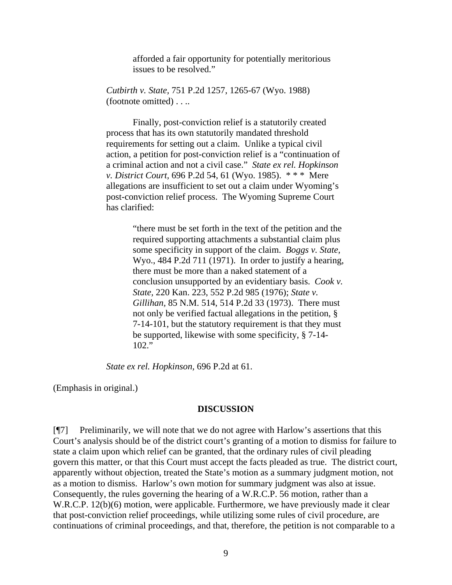afforded a fair opportunity for potentially meritorious issues to be resolved."

*Cutbirth v. State,* 751 P.2d 1257, 1265-67 (Wyo. 1988) (footnote omitted) . . ..

Finally, post-conviction relief is a statutorily created process that has its own statutorily mandated threshold requirements for setting out a claim. Unlike a typical civil action, a petition for post-conviction relief is a "continuation of a criminal action and not a civil case." *State ex rel. Hopkinson v. District Court,* 696 P.2d 54, 61 (Wyo. 1985). \* \* \* Mere allegations are insufficient to set out a claim under Wyoming's post-conviction relief process. The Wyoming Supreme Court has clarified:

> "there must be set forth in the text of the petition and the required supporting attachments a substantial claim plus some specificity in support of the claim. *Boggs v. State,*  Wyo., 484 P.2d 711 (1971). In order to justify a hearing, there must be more than a naked statement of a conclusion unsupported by an evidentiary basis. *Cook v. State,* 220 Kan. 223, 552 P.2d 985 (1976); *State v. Gillihan,* 85 N.M. 514, 514 P.2d 33 (1973). There must not only be verified factual allegations in the petition, § 7-14-101, but the statutory requirement is that they must be supported, likewise with some specificity, § 7-14- 102."

*State ex rel. Hopkinson,* 696 P.2d at 61.

(Emphasis in original.)

#### **DISCUSSION**

[¶7] Preliminarily, we will note that we do not agree with Harlow's assertions that this Court's analysis should be of the district court's granting of a motion to dismiss for failure to state a claim upon which relief can be granted, that the ordinary rules of civil pleading govern this matter, or that this Court must accept the facts pleaded as true. The district court, apparently without objection, treated the State's motion as a summary judgment motion, not as a motion to dismiss. Harlow's own motion for summary judgment was also at issue. Consequently, the rules governing the hearing of a W.R.C.P. 56 motion, rather than a W.R.C.P. 12(b)(6) motion, were applicable. Furthermore, we have previously made it clear that post-conviction relief proceedings, while utilizing some rules of civil procedure, are continuations of criminal proceedings, and that, therefore, the petition is not comparable to a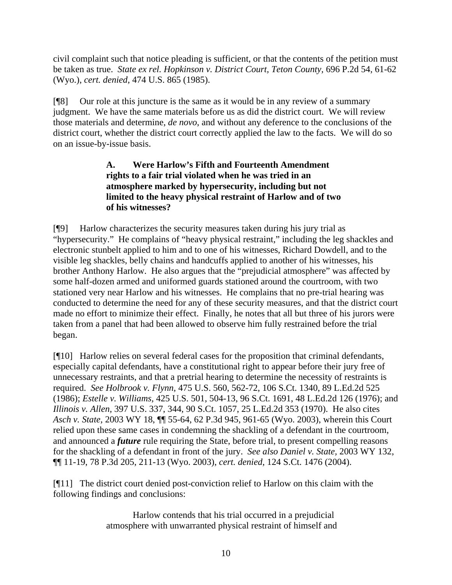civil complaint such that notice pleading is sufficient, or that the contents of the petition must be taken as true. *State ex rel. Hopkinson v. District Court, Teton County,* 696 P.2d 54, 61-62 (Wyo.), *cert. denied*, 474 U.S. 865 (1985).

[¶8] Our role at this juncture is the same as it would be in any review of a summary judgment. We have the same materials before us as did the district court. We will review those materials and determine, *de novo*, and without any deference to the conclusions of the district court, whether the district court correctly applied the law to the facts. We will do so on an issue-by-issue basis.

# **A. Were Harlow's Fifth and Fourteenth Amendment rights to a fair trial violated when he was tried in an atmosphere marked by hypersecurity, including but not limited to the heavy physical restraint of Harlow and of two of his witnesses?**

[¶9] Harlow characterizes the security measures taken during his jury trial as "hypersecurity." He complains of "heavy physical restraint," including the leg shackles and electronic stunbelt applied to him and to one of his witnesses, Richard Dowdell, and to the visible leg shackles, belly chains and handcuffs applied to another of his witnesses, his brother Anthony Harlow. He also argues that the "prejudicial atmosphere" was affected by some half-dozen armed and uniformed guards stationed around the courtroom, with two stationed very near Harlow and his witnesses. He complains that no pre-trial hearing was conducted to determine the need for any of these security measures, and that the district court made no effort to minimize their effect. Finally, he notes that all but three of his jurors were taken from a panel that had been allowed to observe him fully restrained before the trial began.

[¶10] Harlow relies on several federal cases for the proposition that criminal defendants, especially capital defendants, have a constitutional right to appear before their jury free of unnecessary restraints, and that a pretrial hearing to determine the necessity of restraints is required. *See Holbrook v. Flynn,* 475 U.S. 560, 562-72, 106 S.Ct. 1340, 89 L.Ed.2d 525 (1986); *Estelle v. Williams,* 425 U.S. 501, 504-13, 96 S.Ct. 1691, 48 L.Ed.2d 126 (1976); and *Illinois v. Allen,* 397 U.S. 337, 344, 90 S.Ct. 1057, 25 L.Ed.2d 353 (1970). He also cites *Asch v. State,* 2003 WY 18, ¶¶ 55-64, 62 P.3d 945, 961-65 (Wyo. 2003), wherein this Court relied upon these same cases in condemning the shackling of a defendant in the courtroom, and announced a *future* rule requiring the State, before trial, to present compelling reasons for the shackling of a defendant in front of the jury. *See also Daniel v. State,* 2003 WY 132, ¶¶ 11-19, 78 P.3d 205, 211-13 (Wyo. 2003), *cert. denied*, 124 S.Ct. 1476 (2004).

[¶11] The district court denied post-conviction relief to Harlow on this claim with the following findings and conclusions:

> Harlow contends that his trial occurred in a prejudicial atmosphere with unwarranted physical restraint of himself and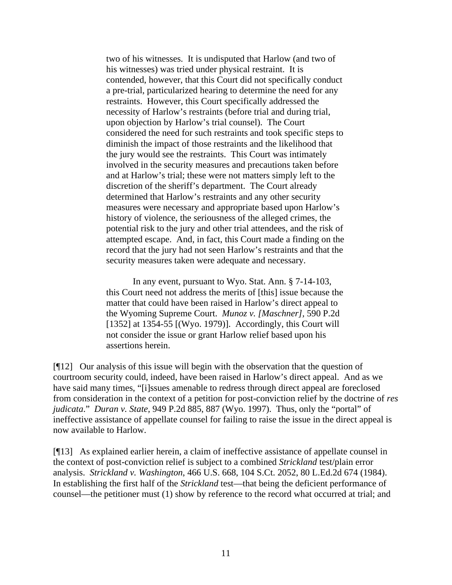two of his witnesses. It is undisputed that Harlow (and two of his witnesses) was tried under physical restraint. It is contended, however, that this Court did not specifically conduct a pre-trial, particularized hearing to determine the need for any restraints. However, this Court specifically addressed the necessity of Harlow's restraints (before trial and during trial, upon objection by Harlow's trial counsel). The Court considered the need for such restraints and took specific steps to diminish the impact of those restraints and the likelihood that the jury would see the restraints. This Court was intimately involved in the security measures and precautions taken before and at Harlow's trial; these were not matters simply left to the discretion of the sheriff's department. The Court already determined that Harlow's restraints and any other security measures were necessary and appropriate based upon Harlow's history of violence, the seriousness of the alleged crimes, the potential risk to the jury and other trial attendees, and the risk of attempted escape. And, in fact, this Court made a finding on the record that the jury had not seen Harlow's restraints and that the security measures taken were adequate and necessary.

In any event, pursuant to Wyo. Stat. Ann. § 7-14-103, this Court need not address the merits of [this] issue because the matter that could have been raised in Harlow's direct appeal to the Wyoming Supreme Court. *Munoz v. [Maschner],* 590 P.2d [1352] at  $1354-55$  [(Wyo. 1979)]. Accordingly, this Court will not consider the issue or grant Harlow relief based upon his assertions herein.

[¶12] Our analysis of this issue will begin with the observation that the question of courtroom security could, indeed, have been raised in Harlow's direct appeal. And as we have said many times, "[i]ssues amenable to redress through direct appeal are foreclosed from consideration in the context of a petition for post-conviction relief by the doctrine of *res judicata*." *Duran v. State,* 949 P.2d 885, 887 (Wyo. 1997). Thus, only the "portal" of ineffective assistance of appellate counsel for failing to raise the issue in the direct appeal is now available to Harlow.

[¶13] As explained earlier herein, a claim of ineffective assistance of appellate counsel in the context of post-conviction relief is subject to a combined *Strickland* test/plain error analysis. *Strickland v. Washington*, 466 U.S. 668, 104 S.Ct. 2052, 80 L.Ed.2d 674 (1984). In establishing the first half of the *Strickland* test—that being the deficient performance of counsel—the petitioner must (1) show by reference to the record what occurred at trial; and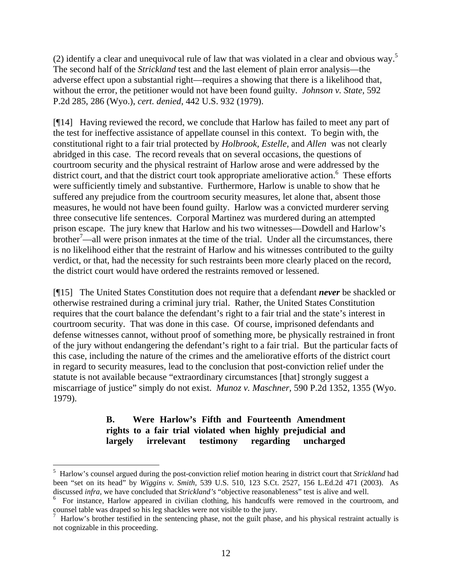(2)identify a clear and unequivocal rule of law that was violated in a clear and obvious way.<sup>5</sup> The second half of the *Strickland* test and the last element of plain error analysis—the adverse effect upon a substantial right—requires a showing that there is a likelihood that, without the error, the petitioner would not have been found guilty. *Johnson v. State,* 592 P.2d 285, 286 (Wyo.), *cert. denied*, 442 U.S. 932 (1979).

[¶14] Having reviewed the record, we conclude that Harlow has failed to meet any part of the test for ineffective assistance of appellate counsel in this context. To begin with, the constitutional right to a fair trial protected by *Holbrook, Estelle,* and *Allen* was not clearly abridged in this case. The record reveals that on several occasions, the questions of courtroom security and the physical restraint of Harlow arose and were addressed by the district court, and that the district court took appropriate ameliorative action.<sup>[6](#page-12-1)</sup> These efforts were sufficiently timely and substantive. Furthermore, Harlow is unable to show that he suffered any prejudice from the courtroom security measures, let alone that, absent those measures, he would not have been found guilty. Harlow was a convicted murderer serving three consecutive life sentences. Corporal Martinez was murdered during an attempted prison escape. The jury knew that Harlow and his two witnesses—Dowdell and Harlow's  $b$ rother<sup>[7](#page-12-2)</sup>—all were prison inmates at the time of the trial. Under all the circumstances, there is no likelihood either that the restraint of Harlow and his witnesses contributed to the guilty verdict, or that, had the necessity for such restraints been more clearly placed on the record, the district court would have ordered the restraints removed or lessened.

[¶15] The United States Constitution does not require that a defendant *never* be shackled or otherwise restrained during a criminal jury trial. Rather, the United States Constitution requires that the court balance the defendant's right to a fair trial and the state's interest in courtroom security. That was done in this case. Of course, imprisoned defendants and defense witnesses cannot, without proof of something more, be physically restrained in front of the jury without endangering the defendant's right to a fair trial. But the particular facts of this case, including the nature of the crimes and the ameliorative efforts of the district court in regard to security measures, lead to the conclusion that post-conviction relief under the statute is not available because "extraordinary circumstances [that] strongly suggest a miscarriage of justice" simply do not exist. *Munoz v. Maschner,* 590 P.2d 1352, 1355 (Wyo. 1979).

## **B. Were Harlow's Fifth and Fourteenth Amendment rights to a fair trial violated when highly prejudicial and largely irrelevant testimony regarding uncharged**

<span id="page-12-0"></span><sup>5</sup> Harlow's counsel argued during the post-conviction relief motion hearing in district court that *Strickland* had been "set on its head" by *Wiggins v. Smith,* 539 U.S. 510, 123 S.Ct. 2527, 156 L.Ed.2d 471 (2003). As discussed *infra,* we have concluded that *Strickland's* "objective reasonableness" test is alive and well.

<span id="page-12-1"></span><sup>&</sup>lt;sup>6</sup> For instance, Harlow appeared in civilian clothing, his handcuffs were removed in the courtroom, and counsel table was draped so his leg shackles were not visible to the jury.

<span id="page-12-2"></span>Harlow's brother testified in the sentencing phase, not the guilt phase, and his physical restraint actually is not cognizable in this proceeding.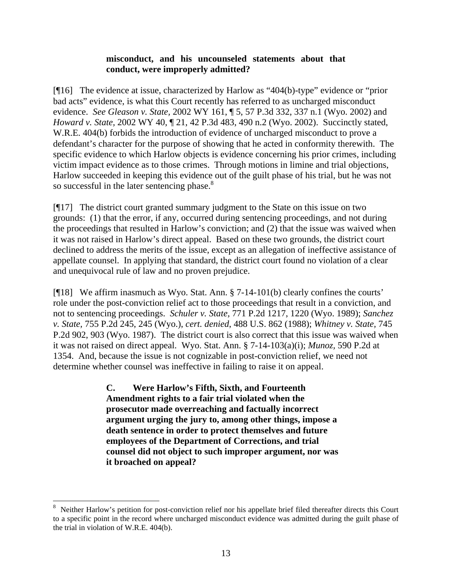### **misconduct, and his uncounseled statements about that conduct, were improperly admitted?**

[¶16] The evidence at issue, characterized by Harlow as "404(b)-type" evidence or "prior bad acts" evidence, is what this Court recently has referred to as uncharged misconduct evidence. *See Gleason v. State,* 2002 WY 161, ¶ 5, 57 P.3d 332, 337 n.1 (Wyo. 2002) and *Howard v. State,* 2002 WY 40, ¶ 21, 42 P.3d 483, 490 n.2 (Wyo. 2002). Succinctly stated, W.R.E. 404(b) forbids the introduction of evidence of uncharged misconduct to prove a defendant's character for the purpose of showing that he acted in conformity therewith. The specific evidence to which Harlow objects is evidence concerning his prior crimes, including victim impact evidence as to those crimes. Through motions in limine and trial objections, Harlow succeeded in keeping this evidence out of the guilt phase of his trial, but he was not so successful in the later sentencing phase.<sup>[8](#page-13-0)</sup>

[¶17] The district court granted summary judgment to the State on this issue on two grounds: (1) that the error, if any, occurred during sentencing proceedings, and not during the proceedings that resulted in Harlow's conviction; and (2) that the issue was waived when it was not raised in Harlow's direct appeal. Based on these two grounds, the district court declined to address the merits of the issue, except as an allegation of ineffective assistance of appellate counsel. In applying that standard, the district court found no violation of a clear and unequivocal rule of law and no proven prejudice.

[¶18] We affirm inasmuch as Wyo. Stat. Ann. § 7-14-101(b) clearly confines the courts' role under the post-conviction relief act to those proceedings that result in a conviction, and not to sentencing proceedings. *Schuler v. State,* 771 P.2d 1217, 1220 (Wyo. 1989); *Sanchez v. State,* 755 P.2d 245, 245 (Wyo.), *cert. denied*, 488 U.S. 862 (1988); *Whitney v. State,* 745 P.2d 902, 903 (Wyo. 1987). The district court is also correct that this issue was waived when it was not raised on direct appeal. Wyo. Stat. Ann. § 7-14-103(a)(i); *Munoz,* 590 P.2d at 1354. And, because the issue is not cognizable in post-conviction relief, we need not determine whether counsel was ineffective in failing to raise it on appeal.

> **C. Were Harlow's Fifth, Sixth, and Fourteenth Amendment rights to a fair trial violated when the prosecutor made overreaching and factually incorrect argument urging the jury to, among other things, impose a death sentence in order to protect themselves and future employees of the Department of Corrections, and trial counsel did not object to such improper argument, nor was it broached on appeal?**

<span id="page-13-0"></span><sup>8</sup> Neither Harlow's petition for post-conviction relief nor his appellate brief filed thereafter directs this Court to a specific point in the record where uncharged misconduct evidence was admitted during the guilt phase of the trial in violation of W.R.E. 404(b).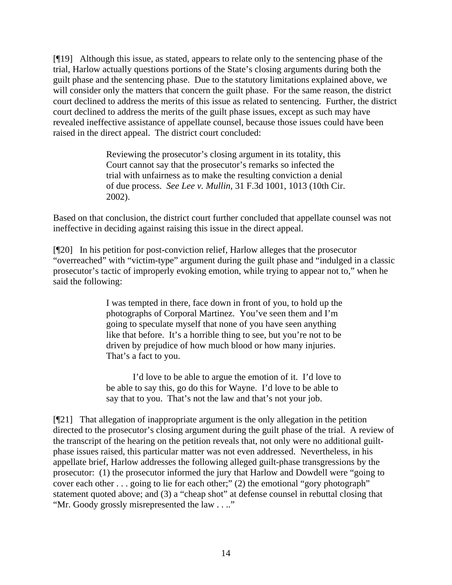[¶19] Although this issue, as stated, appears to relate only to the sentencing phase of the trial, Harlow actually questions portions of the State's closing arguments during both the guilt phase and the sentencing phase. Due to the statutory limitations explained above, we will consider only the matters that concern the guilt phase. For the same reason, the district court declined to address the merits of this issue as related to sentencing. Further, the district court declined to address the merits of the guilt phase issues, except as such may have revealed ineffective assistance of appellate counsel, because those issues could have been raised in the direct appeal. The district court concluded:

> Reviewing the prosecutor's closing argument in its totality, this Court cannot say that the prosecutor's remarks so infected the trial with unfairness as to make the resulting conviction a denial of due process. *See Lee v. Mullin,* 31 F.3d 1001, 1013 (10th Cir. 2002).

Based on that conclusion, the district court further concluded that appellate counsel was not ineffective in deciding against raising this issue in the direct appeal.

[¶20] In his petition for post-conviction relief, Harlow alleges that the prosecutor "overreached" with "victim-type" argument during the guilt phase and "indulged in a classic prosecutor's tactic of improperly evoking emotion, while trying to appear not to," when he said the following:

> I was tempted in there, face down in front of you, to hold up the photographs of Corporal Martinez. You've seen them and I'm going to speculate myself that none of you have seen anything like that before. It's a horrible thing to see, but you're not to be driven by prejudice of how much blood or how many injuries. That's a fact to you.

> I'd love to be able to argue the emotion of it. I'd love to be able to say this, go do this for Wayne. I'd love to be able to say that to you. That's not the law and that's not your job.

[¶21] That allegation of inappropriate argument is the only allegation in the petition directed to the prosecutor's closing argument during the guilt phase of the trial. A review of the transcript of the hearing on the petition reveals that, not only were no additional guiltphase issues raised, this particular matter was not even addressed. Nevertheless, in his appellate brief, Harlow addresses the following alleged guilt-phase transgressions by the prosecutor: (1) the prosecutor informed the jury that Harlow and Dowdell were "going to cover each other . . . going to lie for each other;" (2) the emotional "gory photograph" statement quoted above; and (3) a "cheap shot" at defense counsel in rebuttal closing that "Mr. Goody grossly misrepresented the law . . .."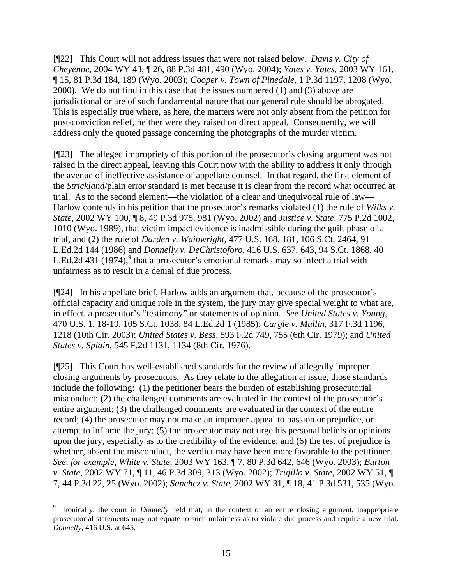[¶22] This Court will not address issues that were not raised below. *Davis v. City of Cheyenne,* 2004 WY 43, ¶ 26, 88 P.3d 481, 490 (Wyo. 2004); *Yates v. Yates,* 2003 WY 161, ¶ 15, 81 P.3d 184, 189 (Wyo. 2003); *Cooper v. Town of Pinedale,* 1 P.3d 1197, 1208 (Wyo. 2000). We do not find in this case that the issues numbered (1) and (3) above are jurisdictional or are of such fundamental nature that our general rule should be abrogated. This is especially true where, as here, the matters were not only absent from the petition for post-conviction relief, neither were they raised on direct appeal. Consequently, we will address only the quoted passage concerning the photographs of the murder victim.

[¶23] The alleged impropriety of this portion of the prosecutor's closing argument was not raised in the direct appeal, leaving this Court now with the ability to address it only through the avenue of ineffective assistance of appellate counsel. In that regard, the first element of the *Strickland*/plain error standard is met because it is clear from the record what occurred at trial. As to the second element—the violation of a clear and unequivocal rule of law— Harlow contends in his petition that the prosecutor's remarks violated (1) the rule of *Wilks v. State,* 2002 WY 100, ¶ 8, 49 P.3d 975, 981 (Wyo. 2002) and *Justice v. State,* 775 P.2d 1002, 1010 (Wyo. 1989), that victim impact evidence is inadmissible during the guilt phase of a trial, and (2) the rule of *Darden v. Wainwright,* 477 U.S. 168, 181, 106 S.Ct. 2464, 91 L.Ed.2d 144 (1986) and *Donnelly v. DeChristoforo,* 416 U.S. 637, 643, 94 S.Ct. 1868, 40 L.Ed.2d 431 (1[9](#page-15-0)74),<sup>9</sup> that a prosecutor's emotional remarks may so infect a trial with unfairness as to result in a denial of due process.

[¶24] In his appellate brief, Harlow adds an argument that, because of the prosecutor's official capacity and unique role in the system, the jury may give special weight to what are, in effect, a prosecutor's "testimony" or statements of opinion. *See United States v. Young,*  470 U.S. 1, 18-19, 105 S.Ct. 1038, 84 L.Ed.2d 1 (1985); *Cargle v. Mullin,* 317 F.3d 1196, 1218 (10th Cir. 2003); *United States v. Bess,* 593 F.2d 749, 755 (6th Cir. 1979); and *United States v. Splain,* 545 F.2d 1131, 1134 (8th Cir. 1976).

[¶25] This Court has well-established standards for the review of allegedly improper closing arguments by prosecutors. As they relate to the allegation at issue, those standards include the following: (1) the petitioner bears the burden of establishing prosecutorial misconduct; (2) the challenged comments are evaluated in the context of the prosecutor's entire argument; (3) the challenged comments are evaluated in the context of the entire record; (4) the prosecutor may not make an improper appeal to passion or prejudice, or attempt to inflame the jury; (5) the prosecutor may not urge his personal beliefs or opinions upon the jury, especially as to the credibility of the evidence; and (6) the test of prejudice is whether, absent the misconduct, the verdict may have been more favorable to the petitioner. *See, for example, White v. State,* 2003 WY 163, ¶ 7, 80 P.3d 642, 646 (Wyo. 2003); *Burton v. State*, 2002 WY 71, ¶ 11, 46 P.3d 309, 313 (Wyo. 2002); *Trujillo v. State,* 2002 WY 51, ¶ 7, 44 P.3d 22, 25 (Wyo. 2002); *Sanchez v. State,* 2002 WY 31, ¶ 18, 41 P.3d 531, 535 (Wyo.

<span id="page-15-0"></span><sup>9</sup> Ironically, the court in *Donnelly* held that, in the context of an entire closing argument, inappropriate prosecutorial statements may not equate to such unfairness as to violate due process and require a new trial. *Donnelly,* 416 U.S. at 645.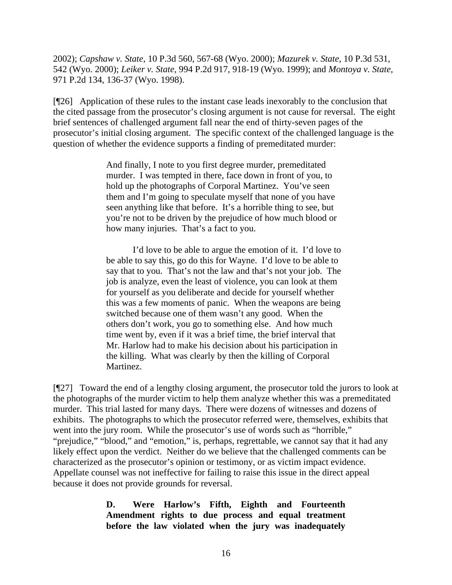2002); *Capshaw v. State,* 10 P.3d 560, 567-68 (Wyo. 2000); *Mazurek v. State,* 10 P.3d 531, 542 (Wyo. 2000); *Leiker v. State,* 994 P.2d 917, 918-19 (Wyo. 1999); and *Montoya v. State,*  971 P.2d 134, 136-37 (Wyo. 1998).

[¶26] Application of these rules to the instant case leads inexorably to the conclusion that the cited passage from the prosecutor's closing argument is not cause for reversal. The eight brief sentences of challenged argument fall near the end of thirty-seven pages of the prosecutor's initial closing argument. The specific context of the challenged language is the question of whether the evidence supports a finding of premeditated murder:

> And finally, I note to you first degree murder, premeditated murder. I was tempted in there, face down in front of you, to hold up the photographs of Corporal Martinez. You've seen them and I'm going to speculate myself that none of you have seen anything like that before. It's a horrible thing to see, but you're not to be driven by the prejudice of how much blood or how many injuries. That's a fact to you.

I'd love to be able to argue the emotion of it. I'd love to be able to say this, go do this for Wayne. I'd love to be able to say that to you. That's not the law and that's not your job. The job is analyze, even the least of violence, you can look at them for yourself as you deliberate and decide for yourself whether this was a few moments of panic. When the weapons are being switched because one of them wasn't any good. When the others don't work, you go to something else. And how much time went by, even if it was a brief time, the brief interval that Mr. Harlow had to make his decision about his participation in the killing. What was clearly by then the killing of Corporal Martinez.

[¶27] Toward the end of a lengthy closing argument, the prosecutor told the jurors to look at the photographs of the murder victim to help them analyze whether this was a premeditated murder. This trial lasted for many days. There were dozens of witnesses and dozens of exhibits. The photographs to which the prosecutor referred were, themselves, exhibits that went into the jury room. While the prosecutor's use of words such as "horrible," "prejudice," "blood," and "emotion," is, perhaps, regrettable, we cannot say that it had any likely effect upon the verdict. Neither do we believe that the challenged comments can be characterized as the prosecutor's opinion or testimony, or as victim impact evidence. Appellate counsel was not ineffective for failing to raise this issue in the direct appeal because it does not provide grounds for reversal.

> **D. Were Harlow's Fifth, Eighth and Fourteenth Amendment rights to due process and equal treatment before the law violated when the jury was inadequately**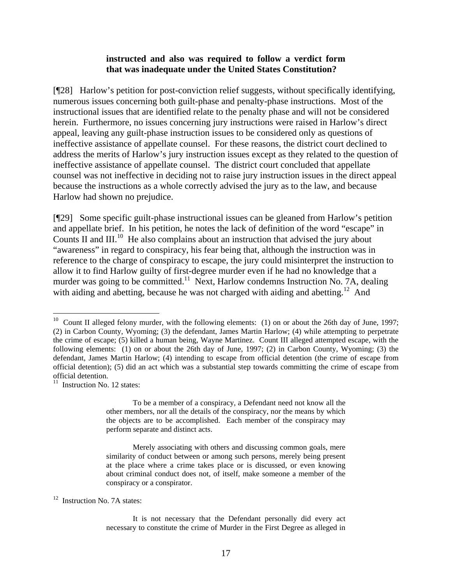#### **instructed and also was required to follow a verdict form that was inadequate under the United States Constitution?**

[¶28] Harlow's petition for post-conviction relief suggests, without specifically identifying, numerous issues concerning both guilt-phase and penalty-phase instructions. Most of the instructional issues that are identified relate to the penalty phase and will not be considered herein. Furthermore, no issues concerning jury instructions were raised in Harlow's direct appeal, leaving any guilt-phase instruction issues to be considered only as questions of ineffective assistance of appellate counsel. For these reasons, the district court declined to address the merits of Harlow's jury instruction issues except as they related to the question of ineffective assistance of appellate counsel. The district court concluded that appellate counsel was not ineffective in deciding not to raise jury instruction issues in the direct appeal because the instructions as a whole correctly advised the jury as to the law, and because Harlow had shown no prejudice.

[¶29] Some specific guilt-phase instructional issues can be gleaned from Harlow's petition and appellate brief. In his petition, he notes the lack of definition of the word "escape" in Counts II and  $III$ <sup>10</sup> He also complains about an instruction that advised the jury about "awareness" in regard to conspiracy, his fear being that, although the instruction was in reference to the charge of conspiracy to escape, the jury could misinterpret the instruction to allow it to find Harlow guilty of first-degree murder even if he had no knowledge that a murder was going to be committed.<sup>11</sup> Next, Harlow condemns Instruction No. 7A, dealing with aiding and abetting, because he was not charged with aiding and abetting.<sup>12</sup> And

 $\overline{a}$ 

To be a member of a conspiracy, a Defendant need not know all the other members, nor all the details of the conspiracy, nor the means by which the objects are to be accomplished. Each member of the conspiracy may perform separate and distinct acts.

Merely associating with others and discussing common goals, mere similarity of conduct between or among such persons, merely being present at the place where a crime takes place or is discussed, or even knowing about criminal conduct does not, of itself, make someone a member of the conspiracy or a conspirator.

<span id="page-17-2"></span><sup>12</sup> Instruction No. 7A states:

<span id="page-17-0"></span> $10$  Count II alleged felony murder, with the following elements: (1) on or about the 26th day of June, 1997; (2) in Carbon County, Wyoming; (3) the defendant, James Martin Harlow; (4) while attempting to perpetrate the crime of escape; (5) killed a human being, Wayne Martinez. Count III alleged attempted escape, with the following elements: (1) on or about the 26th day of June, 1997; (2) in Carbon County, Wyoming; (3) the defendant, James Martin Harlow; (4) intending to escape from official detention (the crime of escape from official detention); (5) did an act which was a substantial step towards committing the crime of escape from

<span id="page-17-1"></span> $11$  Instruction No. 12 states:

It is not necessary that the Defendant personally did every act necessary to constitute the crime of Murder in the First Degree as alleged in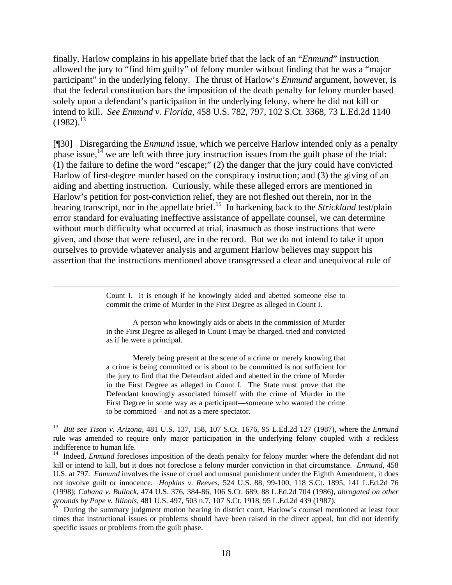finally, Harlow complains in his appellate brief that the lack of an "*Enmund*" instruction allowed the jury to "find him guilty" of felony murder without finding that he was a "major participant" in the underlying felony. The thrust of Harlow's *Enmund* argument, however, is that the federal constitution bars the imposition of the death penalty for felony murder based solely upon a defendant's participation in the underlying felony, where he did not kill or intend to kill. *See Enmund v. Florida,* 458 U.S. 782, 797, 102 S.Ct. 3368, 73 L.Ed.2d 1140  $(1982).^{13}$  $(1982).^{13}$  $(1982).^{13}$ 

[¶30] Disregarding the *Enmund* issue, which we perceive Harlow intended only as a penalty phase issue,  $14$  we are left with three jury instruction issues from the guilt phase of the trial: (1) the failure to define the word "escape;" (2) the danger that the jury could have convicted Harlow of first-degree murder based on the conspiracy instruction; and (3) the giving of an aiding and abetting instruction. Curiously, while these alleged errors are mentioned in Harlow's petition for post-conviction relief, they are not fleshed out therein, nor in the hearing transcript, nor in the appellate brief.<sup>15</sup> In harkening back to the *Strickland* test/plain error standard for evaluating ineffective assistance of appellate counsel, we can determine without much difficulty what occurred at trial, inasmuch as those instructions that were given, and those that were refused, are in the record. But we do not intend to take it upon ourselves to provide whatever analysis and argument Harlow believes may support his assertion that the instructions mentioned above transgressed a clear and unequivocal rule of

> Count I. It is enough if he knowingly aided and abetted someone else to commit the crime of Murder in the First Degree as alleged in Count I.

 $\overline{a}$ 

A person who knowingly aids or abets in the commission of Murder in the First Degree as alleged in Count I may be charged, tried and convicted as if he were a principal.

Merely being present at the scene of a crime or merely knowing that a crime is being committed or is about to be committed is not sufficient for the jury to find that the Defendant aided and abetted in the crime of Murder in the First Degree as alleged in Count I. The State must prove that the Defendant knowingly associated himself with the crime of Murder in the First Degree in some way as a participant—someone who wanted the crime to be committed—and not as a mere spectator.

<span id="page-18-0"></span><sup>13</sup> *But see Tison v. Arizona,* 481 U.S. 137, 158, 107 S.Ct. 1676, 95 L.Ed.2d 127 (1987), where the *Enmund* rule was amended to require only major participation in the underlying felony coupled with a reckless indifference to human life.

<span id="page-18-1"></span><sup>&</sup>lt;sup>14</sup> Indeed, *Enmund* forecloses imposition of the death penalty for felony murder where the defendant did not kill or intend to kill, but it does not foreclose a felony murder conviction in that circumstance. *Enmund*, 458 U.S. at 797. *Enmund* involves the issue of cruel and unusual punishment under the Eighth Amendment, it does not involve guilt or innocence. *Hopkins v. Reeves,* 524 U.S. 88, 99-100, 118 S.Ct. 1895, 141 L.Ed.2d 76 (1998); *Cabana v. Bullock,* 474 U.S. 376, 384-86, 106 S.Ct. 689, 88 L.Ed.2d 704 (1986), *abrogated on other grounds by Pope v. Illinois*, 481 U.S. 497, 503 n.7, 107 S.Ct. 1918, 95 L.Ed.2d 439 (1987).

<span id="page-18-2"></span><sup>15</sup> During the summary judgment motion hearing in district court, Harlow's counsel mentioned at least four times that instructional issues or problems should have been raised in the direct appeal, but did not identify specific issues or problems from the guilt phase.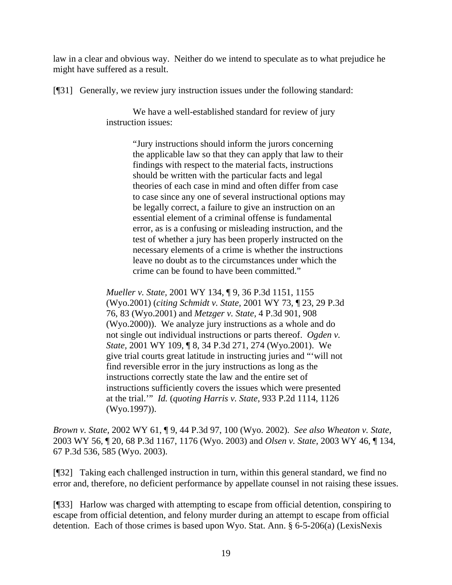law in a clear and obvious way. Neither do we intend to speculate as to what prejudice he might have suffered as a result.

[¶31] Generally, we review jury instruction issues under the following standard:

We have a well-established standard for review of jury instruction issues:

> "Jury instructions should inform the jurors concerning the applicable law so that they can apply that law to their findings with respect to the material facts, instructions should be written with the particular facts and legal theories of each case in mind and often differ from case to case since any one of several instructional options may be legally correct, a failure to give an instruction on an essential element of a criminal offense is fundamental error, as is a confusing or misleading instruction, and the test of whether a jury has been properly instructed on the necessary elements of a crime is whether the instructions leave no doubt as to the circumstances under which the crime can be found to have been committed."

*Mueller v. State,* 2001 WY 134, ¶ 9, 36 P.3d 1151, 1155 (Wyo.2001) (*citing Schmidt v. State,* 2001 WY 73, ¶ 23, 29 P.3d 76, 83 (Wyo.2001) and *Metzger v. State,* 4 P.3d 901, 908 (Wyo.2000)). We analyze jury instructions as a whole and do not single out individual instructions or parts thereof. *Ogden v. State,* 2001 WY 109, ¶ 8, 34 P.3d 271, 274 (Wyo.2001). We give trial courts great latitude in instructing juries and "'will not find reversible error in the jury instructions as long as the instructions correctly state the law and the entire set of instructions sufficiently covers the issues which were presented at the trial.'" *Id.* (*quoting Harris v. State,* 933 P.2d 1114, 1126 (Wyo.1997)).

*Brown v. State,* 2002 WY 61, ¶ 9, 44 P.3d 97, 100 (Wyo. 2002). *See also Wheaton v. State,*  2003 WY 56, ¶ 20, 68 P.3d 1167, 1176 (Wyo. 2003) and *Olsen v. State,* 2003 WY 46, ¶ 134, 67 P.3d 536, 585 (Wyo. 2003).

[¶32] Taking each challenged instruction in turn, within this general standard, we find no error and, therefore, no deficient performance by appellate counsel in not raising these issues.

[¶33] Harlow was charged with attempting to escape from official detention, conspiring to escape from official detention, and felony murder during an attempt to escape from official detention. Each of those crimes is based upon Wyo. Stat. Ann. § 6-5-206(a) (LexisNexis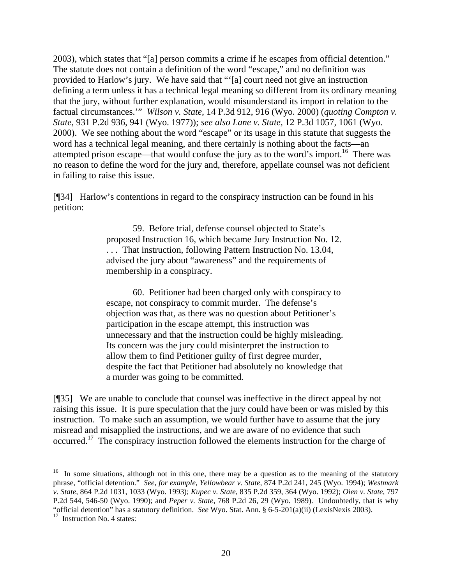2003), which states that "[a] person commits a crime if he escapes from official detention." The statute does not contain a definition of the word "escape," and no definition was provided to Harlow's jury. We have said that "'[a] court need not give an instruction defining a term unless it has a technical legal meaning so different from its ordinary meaning that the jury, without further explanation, would misunderstand its import in relation to the factual circumstances.'" *Wilson v. State,* 14 P.3d 912, 916 (Wyo. 2000) (*quoting Compton v. State*, 931 P.2d 936, 941 (Wyo. 1977)); *see also Lane v. State,* 12 P.3d 1057, 1061 (Wyo. 2000). We see nothing about the word "escape" or its usage in this statute that suggests the word has a technical legal meaning, and there certainly is nothing about the facts—an attempted prison escape—that would confuse the jury as to the word's import.<sup>16</sup> There was no reason to define the word for the jury and, therefore, appellate counsel was not deficient in failing to raise this issue.

[¶34] Harlow's contentions in regard to the conspiracy instruction can be found in his petition:

> 59. Before trial, defense counsel objected to State's proposed Instruction 16, which became Jury Instruction No. 12. . . . That instruction, following Pattern Instruction No. 13.04, advised the jury about "awareness" and the requirements of membership in a conspiracy.

60. Petitioner had been charged only with conspiracy to escape, not conspiracy to commit murder. The defense's objection was that, as there was no question about Petitioner's participation in the escape attempt, this instruction was unnecessary and that the instruction could be highly misleading. Its concern was the jury could misinterpret the instruction to allow them to find Petitioner guilty of first degree murder, despite the fact that Petitioner had absolutely no knowledge that a murder was going to be committed.

[¶35] We are unable to conclude that counsel was ineffective in the direct appeal by not raising this issue. It is pure speculation that the jury could have been or was misled by this instruction. To make such an assumption, we would further have to assume that the jury misread and misapplied the instructions, and we are aware of no evidence that such occurred.[17](#page-20-1) The conspiracy instruction followed the elements instruction for the charge of

<span id="page-20-0"></span><sup>&</sup>lt;sup>16</sup> In some situations, although not in this one, there may be a question as to the meaning of the statutory phrase, "official detention." *See, for example, Yellowbear v. State,* 874 P.2d 241, 245 (Wyo. 1994); *Westmark v. State,* 864 P.2d 1031, 1033 (Wyo. 1993); *Kupec v. State,* 835 P.2d 359, 364 (Wyo. 1992); *Oien v. State,* 797 P.2d 544, 546-50 (Wyo. 1990); and *Peper v. State,* 768 P.2d 26, 29 (Wyo. 1989). Undoubtedly, that is why "official detention" has a statutory definition. *See* Wyo. Stat. Ann. § 6-5-201(a)(ii) (LexisNexis 2003).

<span id="page-20-1"></span> $17$  Instruction No. 4 states: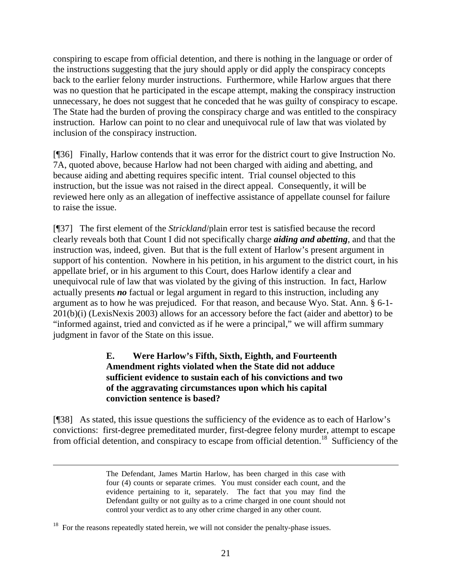conspiring to escape from official detention, and there is nothing in the language or order of the instructions suggesting that the jury should apply or did apply the conspiracy concepts back to the earlier felony murder instructions. Furthermore, while Harlow argues that there was no question that he participated in the escape attempt, making the conspiracy instruction unnecessary, he does not suggest that he conceded that he was guilty of conspiracy to escape. The State had the burden of proving the conspiracy charge and was entitled to the conspiracy instruction. Harlow can point to no clear and unequivocal rule of law that was violated by inclusion of the conspiracy instruction.

[¶36] Finally, Harlow contends that it was error for the district court to give Instruction No. 7A, quoted above, because Harlow had not been charged with aiding and abetting, and because aiding and abetting requires specific intent. Trial counsel objected to this instruction, but the issue was not raised in the direct appeal. Consequently, it will be reviewed here only as an allegation of ineffective assistance of appellate counsel for failure to raise the issue.

[¶37] The first element of the *Strickland*/plain error test is satisfied because the record clearly reveals both that Count I did not specifically charge *aiding and abetting*, and that the instruction was, indeed, given. But that is the full extent of Harlow's present argument in support of his contention. Nowhere in his petition, in his argument to the district court, in his appellate brief, or in his argument to this Court, does Harlow identify a clear and unequivocal rule of law that was violated by the giving of this instruction. In fact, Harlow actually presents *no* factual or legal argument in regard to this instruction, including any argument as to how he was prejudiced. For that reason, and because Wyo. Stat. Ann. § 6-1- 201(b)(i) (LexisNexis 2003) allows for an accessory before the fact (aider and abettor) to be "informed against, tried and convicted as if he were a principal," we will affirm summary judgment in favor of the State on this issue.

## **E. Were Harlow's Fifth, Sixth, Eighth, and Fourteenth Amendment rights violated when the State did not adduce sufficient evidence to sustain each of his convictions and two of the aggravating circumstances upon which his capital conviction sentence is based?**

[¶38] As stated, this issue questions the sufficiency of the evidence as to each of Harlow's convictions: first-degree premeditated murder, first-degree felony murder, attempt to escape from official detention, and conspiracy to escape from official detention.<sup>18</sup> Sufficiency of the

The Defendant, James Martin Harlow, has been charged in this case with four (4) counts or separate crimes. You must consider each count, and the evidence pertaining to it, separately. The fact that you may find the Defendant guilty or not guilty as to a crime charged in one count should not control your verdict as to any other crime charged in any other count.

<span id="page-21-0"></span> $18$  For the reasons repeatedly stated herein, we will not consider the penalty-phase issues.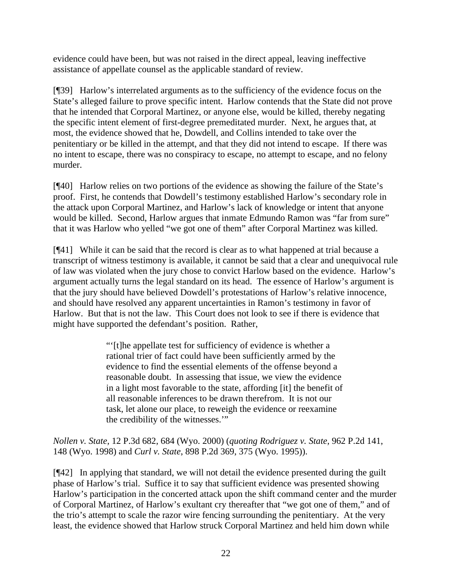evidence could have been, but was not raised in the direct appeal, leaving ineffective assistance of appellate counsel as the applicable standard of review.

[¶39] Harlow's interrelated arguments as to the sufficiency of the evidence focus on the State's alleged failure to prove specific intent. Harlow contends that the State did not prove that he intended that Corporal Martinez, or anyone else, would be killed, thereby negating the specific intent element of first-degree premeditated murder. Next, he argues that, at most, the evidence showed that he, Dowdell, and Collins intended to take over the penitentiary or be killed in the attempt, and that they did not intend to escape. If there was no intent to escape, there was no conspiracy to escape, no attempt to escape, and no felony murder.

[¶40] Harlow relies on two portions of the evidence as showing the failure of the State's proof. First, he contends that Dowdell's testimony established Harlow's secondary role in the attack upon Corporal Martinez, and Harlow's lack of knowledge or intent that anyone would be killed. Second, Harlow argues that inmate Edmundo Ramon was "far from sure" that it was Harlow who yelled "we got one of them" after Corporal Martinez was killed.

[¶41] While it can be said that the record is clear as to what happened at trial because a transcript of witness testimony is available, it cannot be said that a clear and unequivocal rule of law was violated when the jury chose to convict Harlow based on the evidence. Harlow's argument actually turns the legal standard on its head. The essence of Harlow's argument is that the jury should have believed Dowdell's protestations of Harlow's relative innocence, and should have resolved any apparent uncertainties in Ramon's testimony in favor of Harlow. But that is not the law. This Court does not look to see if there is evidence that might have supported the defendant's position. Rather,

> "'[t]he appellate test for sufficiency of evidence is whether a rational trier of fact could have been sufficiently armed by the evidence to find the essential elements of the offense beyond a reasonable doubt. In assessing that issue, we view the evidence in a light most favorable to the state, affording [it] the benefit of all reasonable inferences to be drawn therefrom. It is not our task, let alone our place, to reweigh the evidence or reexamine the credibility of the witnesses."

*Nollen v. State,* 12 P.3d 682, 684 (Wyo. 2000) (*quoting Rodriguez v. State,* 962 P.2d 141, 148 (Wyo. 1998) and *Curl v. State*, 898 P.2d 369, 375 (Wyo. 1995)).

[¶42] In applying that standard, we will not detail the evidence presented during the guilt phase of Harlow's trial. Suffice it to say that sufficient evidence was presented showing Harlow's participation in the concerted attack upon the shift command center and the murder of Corporal Martinez, of Harlow's exultant cry thereafter that "we got one of them," and of the trio's attempt to scale the razor wire fencing surrounding the penitentiary. At the very least, the evidence showed that Harlow struck Corporal Martinez and held him down while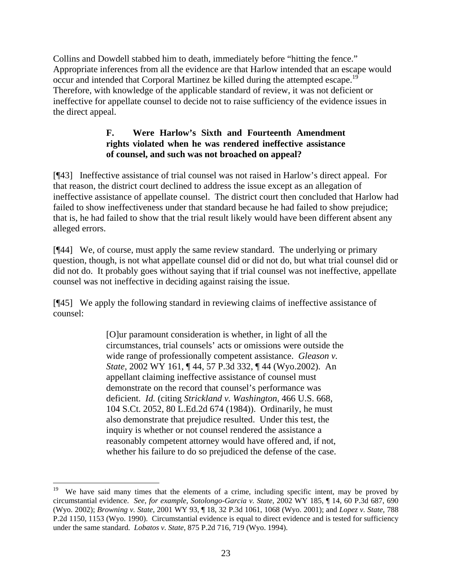Collins and Dowdell stabbed him to death, immediately before "hitting the fence." Appropriate inferences from all the evidence are that Harlow intended that an escape would occur and intended that Corporal Martinez be killed during the attempted escape.<sup>19</sup> Therefore, with knowledge of the applicable standard of review, it was not deficient or ineffective for appellate counsel to decide not to raise sufficiency of the evidence issues in the direct appeal.

## **F. Were Harlow's Sixth and Fourteenth Amendment rights violated when he was rendered ineffective assistance of counsel, and such was not broached on appeal?**

[¶43] Ineffective assistance of trial counsel was not raised in Harlow's direct appeal. For that reason, the district court declined to address the issue except as an allegation of ineffective assistance of appellate counsel. The district court then concluded that Harlow had failed to show ineffectiveness under that standard because he had failed to show prejudice; that is, he had failed to show that the trial result likely would have been different absent any alleged errors.

[¶44] We, of course, must apply the same review standard. The underlying or primary question, though, is not what appellate counsel did or did not do, but what trial counsel did or did not do. It probably goes without saying that if trial counsel was not ineffective, appellate counsel was not ineffective in deciding against raising the issue.

[¶45] We apply the following standard in reviewing claims of ineffective assistance of counsel:

> [O]ur paramount consideration is whether, in light of all the circumstances, trial counsels' acts or omissions were outside the wide range of professionally competent assistance. *Gleason v. State,* 2002 WY 161, ¶ 44, 57 P.3d 332, ¶ 44 (Wyo.2002). An appellant claiming ineffective assistance of counsel must demonstrate on the record that counsel's performance was deficient. *Id.* (citing *Strickland v. Washington,* 466 U.S. 668, 104 S.Ct. 2052, 80 L.Ed.2d 674 (1984)). Ordinarily, he must also demonstrate that prejudice resulted. Under this test, the inquiry is whether or not counsel rendered the assistance a reasonably competent attorney would have offered and, if not, whether his failure to do so prejudiced the defense of the case.

l

<span id="page-23-0"></span>We have said many times that the elements of a crime, including specific intent, may be proved by circumstantial evidence. *See, for example, Sotolongo-Garcia v. State,* 2002 WY 185, ¶ 14, 60 P.3d 687, 690 (Wyo. 2002); *Browning v. State,* 2001 WY 93, ¶ 18, 32 P.3d 1061, 1068 (Wyo. 2001); and *Lopez v. State,* 788 P.2d 1150, 1153 (Wyo. 1990). Circumstantial evidence is equal to direct evidence and is tested for sufficiency under the same standard. *Lobatos v. State,* 875 P.2d 716, 719 (Wyo. 1994).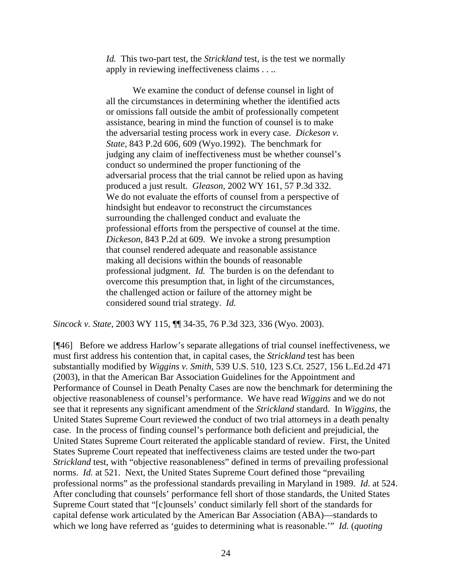*Id.* This two-part test, the *Strickland* test, is the test we normally apply in reviewing ineffectiveness claims . . ..

We examine the conduct of defense counsel in light of all the circumstances in determining whether the identified acts or omissions fall outside the ambit of professionally competent assistance, bearing in mind the function of counsel is to make the adversarial testing process work in every case. *Dickeson v. State,* 843 P.2d 606, 609 (Wyo.1992). The benchmark for judging any claim of ineffectiveness must be whether counsel's conduct so undermined the proper functioning of the adversarial process that the trial cannot be relied upon as having produced a just result. *Gleason,* 2002 WY 161, 57 P.3d 332. We do not evaluate the efforts of counsel from a perspective of hindsight but endeavor to reconstruct the circumstances surrounding the challenged conduct and evaluate the professional efforts from the perspective of counsel at the time. *Dickeson,* 843 P.2d at 609. We invoke a strong presumption that counsel rendered adequate and reasonable assistance making all decisions within the bounds of reasonable professional judgment. *Id.* The burden is on the defendant to overcome this presumption that, in light of the circumstances, the challenged action or failure of the attorney might be considered sound trial strategy. *Id.*

*Sincock v. State,* 2003 WY 115, ¶¶ 34-35, 76 P.3d 323, 336 (Wyo. 2003).

[¶46] Before we address Harlow's separate allegations of trial counsel ineffectiveness, we must first address his contention that, in capital cases, the *Strickland* test has been substantially modified by *Wiggins v. Smith,* 539 U.S. 510, 123 S.Ct. 2527, 156 L.Ed.2d 471 (2003), in that the American Bar Association Guidelines for the Appointment and Performance of Counsel in Death Penalty Cases are now the benchmark for determining the objective reasonableness of counsel's performance. We have read *Wiggins* and we do not see that it represents any significant amendment of the *Strickland* standard. In *Wiggins,* the United States Supreme Court reviewed the conduct of two trial attorneys in a death penalty case. In the process of finding counsel's performance both deficient and prejudicial, the United States Supreme Court reiterated the applicable standard of review. First, the United States Supreme Court repeated that ineffectiveness claims are tested under the two-part *Strickland* test, with "objective reasonableness" defined in terms of prevailing professional norms. *Id.* at 521. Next, the United States Supreme Court defined those "prevailing professional norms" as the professional standards prevailing in Maryland in 1989. *Id.* at 524. After concluding that counsels' performance fell short of those standards, the United States Supreme Court stated that "[c]ounsels' conduct similarly fell short of the standards for capital defense work articulated by the American Bar Association (ABA)—standards to which we long have referred as 'guides to determining what is reasonable.'" *Id.* (*quoting*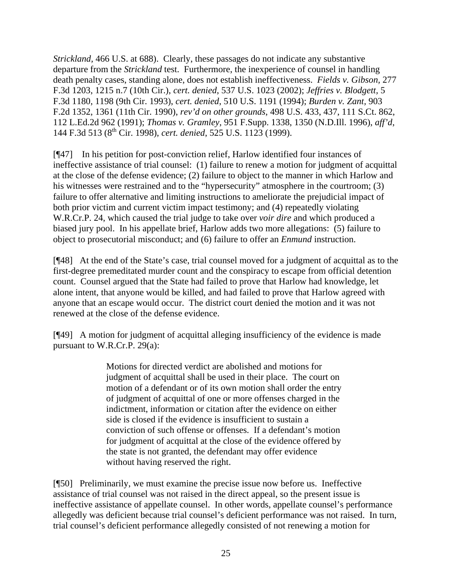*Strickland,* 466 U.S. at 688). Clearly, these passages do not indicate any substantive departure from the *Strickland* test. Furthermore, the inexperience of counsel in handling death penalty cases, standing alone, does not establish ineffectiveness. *Fields v. Gibson,* 277 F.3d 1203, 1215 n.7 (10th Cir.), *cert. denied*, 537 U.S. 1023 (2002); *Jeffries v. Blodgett,* 5 F.3d 1180, 1198 (9th Cir. 1993), *cert. denied*, 510 U.S. 1191 (1994); *Burden v. Zant,* 903 F.2d 1352, 1361 (11th Cir. 1990), *rev'd on other grounds*, 498 U.S. 433, 437, 111 S.Ct. 862, 112 L.Ed.2d 962 (1991); *Thomas v. Gramley,* 951 F.Supp. 1338, 1350 (N.D.Ill. 1996), *aff'd*, 144 F.3d 513 (8th Cir. 1998), *cert. denied*, 525 U.S. 1123 (1999).

[¶47] In his petition for post-conviction relief, Harlow identified four instances of ineffective assistance of trial counsel: (1) failure to renew a motion for judgment of acquittal at the close of the defense evidence; (2) failure to object to the manner in which Harlow and his witnesses were restrained and to the "hypersecurity" atmosphere in the courtroom; (3) failure to offer alternative and limiting instructions to ameliorate the prejudicial impact of both prior victim and current victim impact testimony; and (4) repeatedly violating W.R.Cr.P. 24, which caused the trial judge to take over *voir dire* and which produced a biased jury pool. In his appellate brief, Harlow adds two more allegations: (5) failure to object to prosecutorial misconduct; and (6) failure to offer an *Enmund* instruction.

[¶48] At the end of the State's case, trial counsel moved for a judgment of acquittal as to the first-degree premeditated murder count and the conspiracy to escape from official detention count. Counsel argued that the State had failed to prove that Harlow had knowledge, let alone intent, that anyone would be killed, and had failed to prove that Harlow agreed with anyone that an escape would occur. The district court denied the motion and it was not renewed at the close of the defense evidence.

[¶49] A motion for judgment of acquittal alleging insufficiency of the evidence is made pursuant to W.R.Cr.P. 29(a):

> Motions for directed verdict are abolished and motions for judgment of acquittal shall be used in their place. The court on motion of a defendant or of its own motion shall order the entry of judgment of acquittal of one or more offenses charged in the indictment, information or citation after the evidence on either side is closed if the evidence is insufficient to sustain a conviction of such offense or offenses. If a defendant's motion for judgment of acquittal at the close of the evidence offered by the state is not granted, the defendant may offer evidence without having reserved the right.

[¶50] Preliminarily, we must examine the precise issue now before us. Ineffective assistance of trial counsel was not raised in the direct appeal, so the present issue is ineffective assistance of appellate counsel. In other words, appellate counsel's performance allegedly was deficient because trial counsel's deficient performance was not raised. In turn, trial counsel's deficient performance allegedly consisted of not renewing a motion for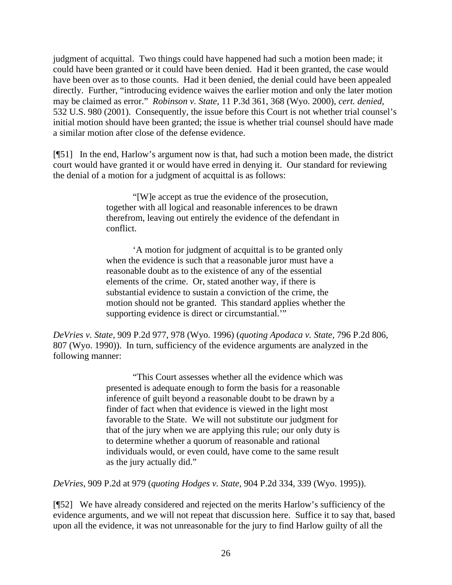judgment of acquittal. Two things could have happened had such a motion been made; it could have been granted or it could have been denied. Had it been granted, the case would have been over as to those counts. Had it been denied, the denial could have been appealed directly. Further, "introducing evidence waives the earlier motion and only the later motion may be claimed as error." *Robinson v. State,* 11 P.3d 361, 368 (Wyo. 2000), *cert. denied*, 532 U.S. 980 (2001). Consequently, the issue before this Court is not whether trial counsel's initial motion should have been granted; the issue is whether trial counsel should have made a similar motion after close of the defense evidence.

[¶51] In the end, Harlow's argument now is that, had such a motion been made, the district court would have granted it or would have erred in denying it. Our standard for reviewing the denial of a motion for a judgment of acquittal is as follows:

> "[W]e accept as true the evidence of the prosecution, together with all logical and reasonable inferences to be drawn therefrom, leaving out entirely the evidence of the defendant in conflict.

'A motion for judgment of acquittal is to be granted only when the evidence is such that a reasonable juror must have a reasonable doubt as to the existence of any of the essential elements of the crime. Or, stated another way, if there is substantial evidence to sustain a conviction of the crime, the motion should not be granted. This standard applies whether the supporting evidence is direct or circumstantial.'"

*DeVries v. State,* 909 P.2d 977, 978 (Wyo. 1996) (*quoting Apodaca v. State,* 796 P.2d 806, 807 (Wyo. 1990)). In turn, sufficiency of the evidence arguments are analyzed in the following manner:

> "This Court assesses whether all the evidence which was presented is adequate enough to form the basis for a reasonable inference of guilt beyond a reasonable doubt to be drawn by a finder of fact when that evidence is viewed in the light most favorable to the State. We will not substitute our judgment for that of the jury when we are applying this rule; our only duty is to determine whether a quorum of reasonable and rational individuals would, or even could, have come to the same result as the jury actually did."

*DeVries*, 909 P.2d at 979 (*quoting Hodges v. State,* 904 P.2d 334, 339 (Wyo. 1995)).

[¶52] We have already considered and rejected on the merits Harlow's sufficiency of the evidence arguments, and we will not repeat that discussion here. Suffice it to say that, based upon all the evidence, it was not unreasonable for the jury to find Harlow guilty of all the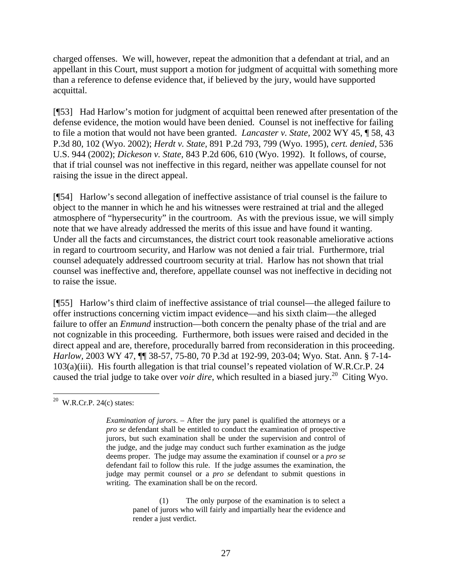charged offenses. We will, however, repeat the admonition that a defendant at trial, and an appellant in this Court, must support a motion for judgment of acquittal with something more than a reference to defense evidence that, if believed by the jury, would have supported acquittal.

[¶53] Had Harlow's motion for judgment of acquittal been renewed after presentation of the defense evidence, the motion would have been denied. Counsel is not ineffective for failing to file a motion that would not have been granted. *Lancaster v. State,* 2002 WY 45, ¶ 58, 43 P.3d 80, 102 (Wyo. 2002); *Herdt v. State,* 891 P.2d 793, 799 (Wyo. 1995), *cert. denied*, 536 U.S. 944 (2002); *Dickeson v. State,* 843 P.2d 606, 610 (Wyo. 1992). It follows, of course, that if trial counsel was not ineffective in this regard, neither was appellate counsel for not raising the issue in the direct appeal.

[¶54] Harlow's second allegation of ineffective assistance of trial counsel is the failure to object to the manner in which he and his witnesses were restrained at trial and the alleged atmosphere of "hypersecurity" in the courtroom. As with the previous issue, we will simply note that we have already addressed the merits of this issue and have found it wanting. Under all the facts and circumstances, the district court took reasonable ameliorative actions in regard to courtroom security, and Harlow was not denied a fair trial. Furthermore, trial counsel adequately addressed courtroom security at trial. Harlow has not shown that trial counsel was ineffective and, therefore, appellate counsel was not ineffective in deciding not to raise the issue.

[¶55] Harlow's third claim of ineffective assistance of trial counsel—the alleged failure to offer instructions concerning victim impact evidence—and his sixth claim—the alleged failure to offer an *Enmund* instruction—both concern the penalty phase of the trial and are not cognizable in this proceeding. Furthermore, both issues were raised and decided in the direct appeal and are, therefore, procedurally barred from reconsideration in this proceeding. *Harlow,* 2003 WY 47, ¶¶ 38-57, 75-80, 70 P.3d at 192-99, 203-04; Wyo. Stat. Ann. § 7-14- 103(a)(iii). His fourth allegation is that trial counsel's repeated violation of W.R.Cr.P. 24 caused the trial judge to take over *voir dire*, which resulted in a biased jury.<sup>20</sup> Citing Wyo.

(1) The only purpose of the examination is to select a panel of jurors who will fairly and impartially hear the evidence and render a just verdict.

<span id="page-27-0"></span> $\overline{a}$  $20$  W.R.Cr.P. 24(c) states:

*Examination of jurors*. – After the jury panel is qualified the attorneys or a *pro se* defendant shall be entitled to conduct the examination of prospective jurors, but such examination shall be under the supervision and control of the judge, and the judge may conduct such further examination as the judge deems proper. The judge may assume the examination if counsel or a *pro se* defendant fail to follow this rule. If the judge assumes the examination, the judge may permit counsel or a *pro se* defendant to submit questions in writing. The examination shall be on the record.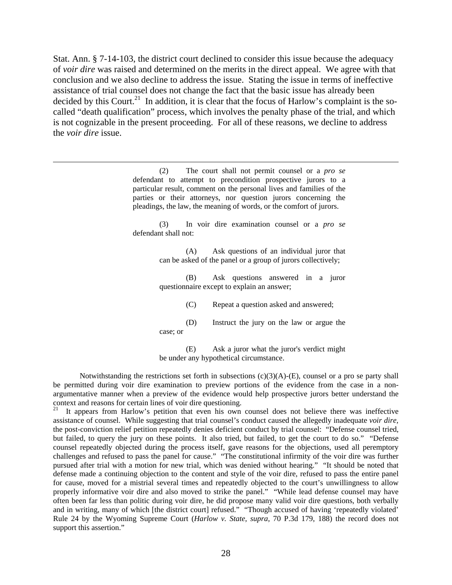Stat. Ann. § 7-14-103, the district court declined to consider this issue because the adequacy of *voir dire* was raised and determined on the merits in the direct appeal. We agree with that conclusion and we also decline to address the issue. Stating the issue in terms of ineffective assistance of trial counsel does not change the fact that the basic issue has already been decided by this Court.<sup>21</sup> In addition, it is clear that the focus of Harlow's complaint is the socalled "death qualification" process, which involves the penalty phase of the trial, and which is not cognizable in the present proceeding. For all of these reasons, we decline to address the *voir dire* issue.

(2) The court shall not permit counsel or a *pro se* defendant to attempt to precondition prospective jurors to a particular result, comment on the personal lives and families of the parties or their attorneys, nor question jurors concerning the pleadings, the law, the meaning of words, or the comfort of jurors.

(3) In voir dire examination counsel or a *pro se* defendant shall not:

> (A) Ask questions of an individual juror that can be asked of the panel or a group of jurors collectively;

> (B) Ask questions answered in a juror questionnaire except to explain an answer;

> > (C) Repeat a question asked and answered;

(D) Instruct the jury on the law or argue the case; or

(E) Ask a juror what the juror's verdict might be under any hypothetical circumstance.

Notwithstanding the restrictions set forth in subsections  $(c)(3)(A)$ - $(E)$ , counsel or a pro se party shall be permitted during voir dire examination to preview portions of the evidence from the case in a nonargumentative manner when a preview of the evidence would help prospective jurors better understand the context and reasons for certain lines of voir dire questioning.

<span id="page-28-0"></span>It appears from Harlow's petition that even his own counsel does not believe there was ineffective assistance of counsel. While suggesting that trial counsel's conduct caused the allegedly inadequate *voir dire,* the post-conviction relief petition repeatedly denies deficient conduct by trial counsel: "Defense counsel tried, but failed, to query the jury on these points. It also tried, but failed, to get the court to do so." "Defense counsel repeatedly objected during the process itself, gave reasons for the objections, used all peremptory challenges and refused to pass the panel for cause." "The constitutional infirmity of the voir dire was further pursued after trial with a motion for new trial, which was denied without hearing." "It should be noted that defense made a continuing objection to the content and style of the voir dire, refused to pass the entire panel for cause, moved for a mistrial several times and repeatedly objected to the court's unwillingness to allow properly informative voir dire and also moved to strike the panel." "While lead defense counsel may have often been far less than politic during voir dire, he did propose many valid voir dire questions, both verbally and in writing, many of which [the district court] refused." "Though accused of having 'repeatedly violated' Rule 24 by the Wyoming Supreme Court (*Harlow v. State, supra,* 70 P.3d 179, 188) the record does not support this assertion."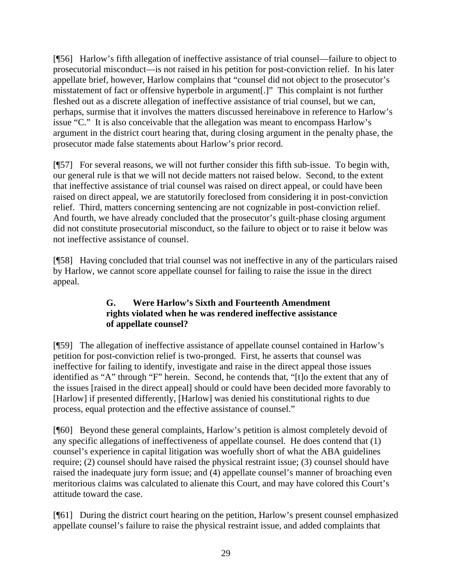[¶56] Harlow's fifth allegation of ineffective assistance of trial counsel—failure to object to prosecutorial misconduct—is not raised in his petition for post-conviction relief. In his later appellate brief, however, Harlow complains that "counsel did not object to the prosecutor's misstatement of fact or offensive hyperbole in argument[.]" This complaint is not further fleshed out as a discrete allegation of ineffective assistance of trial counsel, but we can, perhaps, surmise that it involves the matters discussed hereinabove in reference to Harlow's issue "C." It is also conceivable that the allegation was meant to encompass Harlow's argument in the district court hearing that, during closing argument in the penalty phase, the prosecutor made false statements about Harlow's prior record.

[¶57] For several reasons, we will not further consider this fifth sub-issue. To begin with, our general rule is that we will not decide matters not raised below. Second, to the extent that ineffective assistance of trial counsel was raised on direct appeal, or could have been raised on direct appeal, we are statutorily foreclosed from considering it in post-conviction relief. Third, matters concerning sentencing are not cognizable in post-conviction relief. And fourth, we have already concluded that the prosecutor's guilt-phase closing argument did not constitute prosecutorial misconduct, so the failure to object or to raise it below was not ineffective assistance of counsel.

[¶58] Having concluded that trial counsel was not ineffective in any of the particulars raised by Harlow, we cannot score appellate counsel for failing to raise the issue in the direct appeal.

# **G. Were Harlow's Sixth and Fourteenth Amendment rights violated when he was rendered ineffective assistance of appellate counsel?**

[¶59] The allegation of ineffective assistance of appellate counsel contained in Harlow's petition for post-conviction relief is two-pronged. First, he asserts that counsel was ineffective for failing to identify, investigate and raise in the direct appeal those issues identified as "A" through "F" herein. Second, he contends that, "[t]o the extent that any of the issues [raised in the direct appeal] should or could have been decided more favorably to [Harlow] if presented differently, [Harlow] was denied his constitutional rights to due process, equal protection and the effective assistance of counsel."

[¶60] Beyond these general complaints, Harlow's petition is almost completely devoid of any specific allegations of ineffectiveness of appellate counsel. He does contend that (1) counsel's experience in capital litigation was woefully short of what the ABA guidelines require; (2) counsel should have raised the physical restraint issue; (3) counsel should have raised the inadequate jury form issue; and (4) appellate counsel's manner of broaching even meritorious claims was calculated to alienate this Court, and may have colored this Court's attitude toward the case.

[¶61] During the district court hearing on the petition, Harlow's present counsel emphasized appellate counsel's failure to raise the physical restraint issue, and added complaints that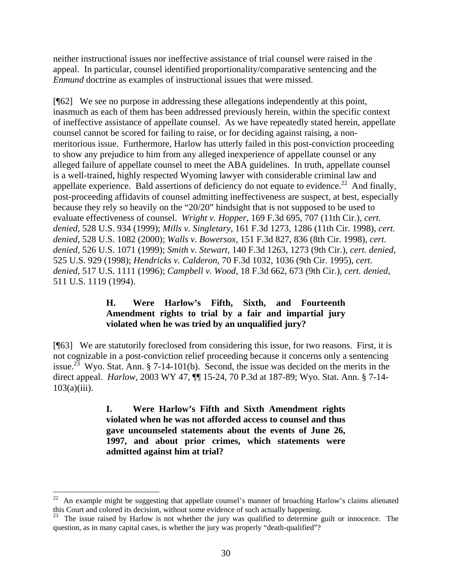neither instructional issues nor ineffective assistance of trial counsel were raised in the appeal. In particular, counsel identified proportionality/comparative sentencing and the *Enmund* doctrine as examples of instructional issues that were missed.

[¶62] We see no purpose in addressing these allegations independently at this point, inasmuch as each of them has been addressed previously herein, within the specific context of ineffective assistance of appellate counsel. As we have repeatedly stated herein, appellate counsel cannot be scored for failing to raise, or for deciding against raising, a nonmeritorious issue. Furthermore, Harlow has utterly failed in this post-conviction proceeding to show any prejudice to him from any alleged inexperience of appellate counsel or any alleged failure of appellate counsel to meet the ABA guidelines. In truth, appellate counsel is a well-trained, highly respected Wyoming lawyer with considerable criminal law and appellate experience. Bald assertions of deficiency do not equate to evidence.<sup>22</sup> And finally, post-proceeding affidavits of counsel admitting ineffectiveness are suspect, at best, especially because they rely so heavily on the "20/20" hindsight that is not supposed to be used to evaluate effectiveness of counsel. *Wright v. Hopper,* 169 F.3d 695, 707 (11th Cir.), *cert. denied*, 528 U.S. 934 (1999); *Mills v. Singletary,* 161 F.3d 1273, 1286 (11th Cir. 1998), *cert. denied*, 528 U.S. 1082 (2000); *Walls v. Bowersox,* 151 F.3d 827, 836 (8th Cir. 1998), *cert. denied*, 526 U.S. 1071 (1999); *Smith v. Stewart,* 140 F.3d 1263, 1273 (9th Cir.), *cert. denied*, 525 U.S. 929 (1998); *Hendricks v. Calderon,* 70 F.3d 1032, 1036 (9th Cir. 1995), *cert. denied*, 517 U.S. 1111 (1996); *Campbell v. Wood,* 18 F.3d 662, 673 (9th Cir.), *cert. denied*, 511 U.S. 1119 (1994).

# **H. Were Harlow's Fifth, Sixth, and Fourteenth Amendment rights to trial by a fair and impartial jury violated when he was tried by an unqualified jury?**

[¶63] We are statutorily foreclosed from considering this issue, for two reasons. First, it is not cognizable in a post-conviction relief proceeding because it concerns only a sentencing issue.<sup>23</sup> Wyo. Stat. Ann. § 7-14-101(b). Second, the issue was decided on the merits in the direct appeal. *Harlow,* 2003 WY 47, ¶¶ 15-24, 70 P.3d at 187-89; Wyo. Stat. Ann. § 7-14-  $103(a)(iii)$ .

> **I. Were Harlow's Fifth and Sixth Amendment rights violated when he was not afforded access to counsel and thus gave uncounseled statements about the events of June 26, 1997, and about prior crimes, which statements were admitted against him at trial?**

 $\overline{a}$ 

<span id="page-30-0"></span> $22$  An example might be suggesting that appellate counsel's manner of broaching Harlow's claims alienated this Court and colored its decision, without some evidence of such actually happening.

<span id="page-30-1"></span><sup>&</sup>lt;sup>23</sup> The issue raised by Harlow is not whether the jury was qualified to determine guilt or innocence. The question, as in many capital cases, is whether the jury was properly "death-qualified"?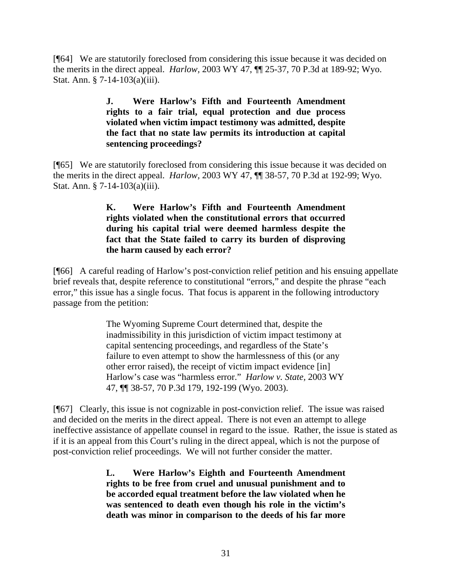[¶64] We are statutorily foreclosed from considering this issue because it was decided on the merits in the direct appeal. *Harlow,* 2003 WY 47, ¶¶ 25-37, 70 P.3d at 189-92; Wyo. Stat. Ann. § 7-14-103(a)(iii).

# **J. Were Harlow's Fifth and Fourteenth Amendment rights to a fair trial, equal protection and due process violated when victim impact testimony was admitted, despite the fact that no state law permits its introduction at capital sentencing proceedings?**

[¶65] We are statutorily foreclosed from considering this issue because it was decided on the merits in the direct appeal. *Harlow,* 2003 WY 47, ¶¶ 38-57, 70 P.3d at 192-99; Wyo. Stat. Ann. § 7-14-103(a)(iii).

## **K. Were Harlow's Fifth and Fourteenth Amendment rights violated when the constitutional errors that occurred during his capital trial were deemed harmless despite the fact that the State failed to carry its burden of disproving the harm caused by each error?**

[¶66] A careful reading of Harlow's post-conviction relief petition and his ensuing appellate brief reveals that, despite reference to constitutional "errors," and despite the phrase "each" error," this issue has a single focus. That focus is apparent in the following introductory passage from the petition:

> The Wyoming Supreme Court determined that, despite the inadmissibility in this jurisdiction of victim impact testimony at capital sentencing proceedings, and regardless of the State's failure to even attempt to show the harmlessness of this (or any other error raised), the receipt of victim impact evidence [in] Harlow's case was "harmless error." *Harlow v. State,* 2003 WY 47, ¶¶ 38-57, 70 P.3d 179, 192-199 (Wyo. 2003).

[¶67] Clearly, this issue is not cognizable in post-conviction relief. The issue was raised and decided on the merits in the direct appeal. There is not even an attempt to allege ineffective assistance of appellate counsel in regard to the issue. Rather, the issue is stated as if it is an appeal from this Court's ruling in the direct appeal, which is not the purpose of post-conviction relief proceedings. We will not further consider the matter.

> **L. Were Harlow's Eighth and Fourteenth Amendment rights to be free from cruel and unusual punishment and to be accorded equal treatment before the law violated when he was sentenced to death even though his role in the victim's death was minor in comparison to the deeds of his far more**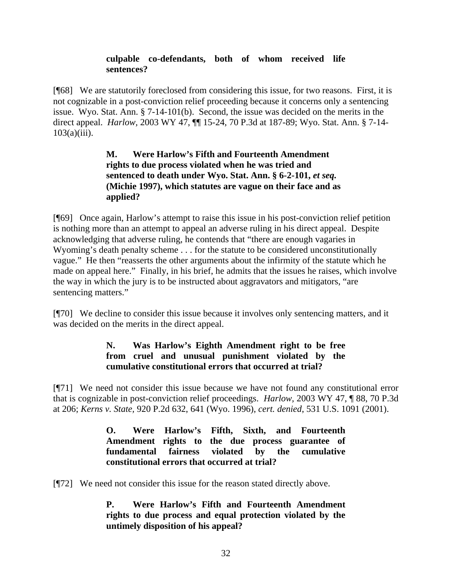## **culpable co-defendants, both of whom received life sentences?**

[¶68] We are statutorily foreclosed from considering this issue, for two reasons. First, it is not cognizable in a post-conviction relief proceeding because it concerns only a sentencing issue. Wyo. Stat. Ann. § 7-14-101(b). Second, the issue was decided on the merits in the direct appeal. *Harlow,* 2003 WY 47, ¶¶ 15-24, 70 P.3d at 187-89; Wyo. Stat. Ann. § 7-14-  $103(a)(iii)$ .

# **M. Were Harlow's Fifth and Fourteenth Amendment rights to due process violated when he was tried and sentenced to death under Wyo. Stat. Ann. § 6-2-101,** *et seq.*  **(Michie 1997), which statutes are vague on their face and as applied?**

[¶69] Once again, Harlow's attempt to raise this issue in his post-conviction relief petition is nothing more than an attempt to appeal an adverse ruling in his direct appeal. Despite acknowledging that adverse ruling, he contends that "there are enough vagaries in Wyoming's death penalty scheme . . . for the statute to be considered unconstitutionally vague." He then "reasserts the other arguments about the infirmity of the statute which he made on appeal here." Finally, in his brief, he admits that the issues he raises, which involve the way in which the jury is to be instructed about aggravators and mitigators, "are sentencing matters."

[¶70] We decline to consider this issue because it involves only sentencing matters, and it was decided on the merits in the direct appeal.

# **N. Was Harlow's Eighth Amendment right to be free from cruel and unusual punishment violated by the cumulative constitutional errors that occurred at trial?**

[¶71] We need not consider this issue because we have not found any constitutional error that is cognizable in post-conviction relief proceedings. *Harlow,* 2003 WY 47, ¶ 88, 70 P.3d at 206; *Kerns v. State,* 920 P.2d 632, 641 (Wyo. 1996), *cert. denied*, 531 U.S. 1091 (2001).

> **O. Were Harlow's Fifth, Sixth, and Fourteenth Amendment rights to the due process guarantee of fundamental fairness violated by the cumulative constitutional errors that occurred at trial?**

[¶72] We need not consider this issue for the reason stated directly above.

# **P. Were Harlow's Fifth and Fourteenth Amendment rights to due process and equal protection violated by the untimely disposition of his appeal?**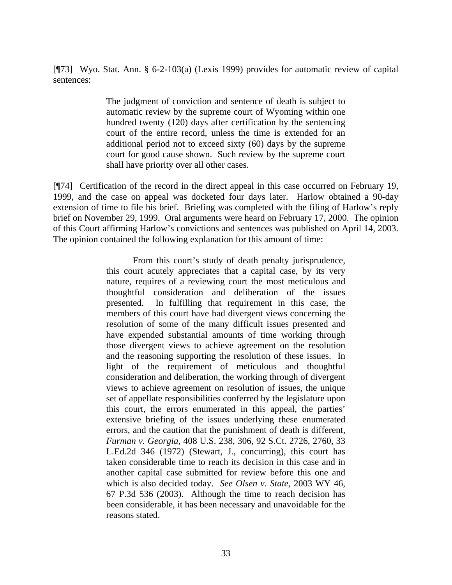[¶73] Wyo. Stat. Ann. § 6-2-103(a) (Lexis 1999) provides for automatic review of capital sentences:

> The judgment of conviction and sentence of death is subject to automatic review by the supreme court of Wyoming within one hundred twenty (120) days after certification by the sentencing court of the entire record, unless the time is extended for an additional period not to exceed sixty (60) days by the supreme court for good cause shown. Such review by the supreme court shall have priority over all other cases.

[¶74] Certification of the record in the direct appeal in this case occurred on February 19, 1999, and the case on appeal was docketed four days later. Harlow obtained a 90-day extension of time to file his brief. Briefing was completed with the filing of Harlow's reply brief on November 29, 1999. Oral arguments were heard on February 17, 2000. The opinion of this Court affirming Harlow's convictions and sentences was published on April 14, 2003. The opinion contained the following explanation for this amount of time:

> From this court's study of death penalty jurisprudence, this court acutely appreciates that a capital case, by its very nature, requires of a reviewing court the most meticulous and thoughtful consideration and deliberation of the issues presented. In fulfilling that requirement in this case, the members of this court have had divergent views concerning the resolution of some of the many difficult issues presented and have expended substantial amounts of time working through those divergent views to achieve agreement on the resolution and the reasoning supporting the resolution of these issues. In light of the requirement of meticulous and thoughtful consideration and deliberation, the working through of divergent views to achieve agreement on resolution of issues, the unique set of appellate responsibilities conferred by the legislature upon this court, the errors enumerated in this appeal, the parties' extensive briefing of the issues underlying these enumerated errors, and the caution that the punishment of death is different, *Furman v. Georgia,* 408 U.S. 238, 306, 92 S.Ct. 2726, 2760, 33 L.Ed.2d 346 (1972) (Stewart, J., concurring), this court has taken considerable time to reach its decision in this case and in another capital case submitted for review before this one and which is also decided today. *See Olsen v. State,* 2003 WY 46, 67 P.3d 536 (2003). Although the time to reach decision has been considerable, it has been necessary and unavoidable for the reasons stated.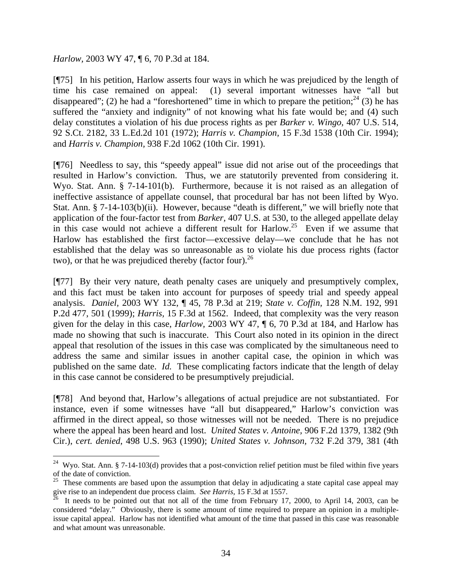*Harlow,* 2003 WY 47, ¶ 6, 70 P.3d at 184.

 $\overline{a}$ 

[¶75] In his petition, Harlow asserts four ways in which he was prejudiced by the length of time his case remained on appeal: (1) several important witnesses have "all but disappeared"; (2) he had a "foreshortened" time in which to prepare the petition;  $24$  (3) he has suffered the "anxiety and indignity" of not knowing what his fate would be; and (4) such delay constitutes a violation of his due process rights as per *Barker v. Wingo,* 407 U.S. 514, 92 S.Ct. 2182, 33 L.Ed.2d 101 (1972); *Harris v. Champion,* 15 F.3d 1538 (10th Cir. 1994); and *Harris v. Champion,* 938 F.2d 1062 (10th Cir. 1991).

[¶76] Needless to say, this "speedy appeal" issue did not arise out of the proceedings that resulted in Harlow's conviction. Thus, we are statutorily prevented from considering it. Wyo. Stat. Ann. § 7-14-101(b). Furthermore, because it is not raised as an allegation of ineffective assistance of appellate counsel, that procedural bar has not been lifted by Wyo. Stat. Ann. § 7-14-103(b)(ii). However, because "death is different," we will briefly note that application of the four-factor test from *Barker,* 407 U.S. at 530, to the alleged appellate delay in this case would not achieve a different result for Harlow.<sup>25</sup> Even if we assume that Harlow has established the first factor—excessive delay—we conclude that he has not established that the delay was so unreasonable as to violate his due process rights (factor two), or that he was prejudiced thereby (factor four).<sup>[26](#page-34-2)</sup>

[¶77] By their very nature, death penalty cases are uniquely and presumptively complex, and this fact must be taken into account for purposes of speedy trial and speedy appeal analysis. *Daniel,* 2003 WY 132, ¶ 45, 78 P.3d at 219; *State v. Coffin,* 128 N.M. 192, 991 P.2d 477, 501 (1999); *Harris,* 15 F.3d at 1562. Indeed, that complexity was the very reason given for the delay in this case, *Harlow,* 2003 WY 47, ¶ 6, 70 P.3d at 184, and Harlow has made no showing that such is inaccurate. This Court also noted in its opinion in the direct appeal that resolution of the issues in this case was complicated by the simultaneous need to address the same and similar issues in another capital case, the opinion in which was published on the same date. *Id.* These complicating factors indicate that the length of delay in this case cannot be considered to be presumptively prejudicial.

[¶78] And beyond that, Harlow's allegations of actual prejudice are not substantiated. For instance, even if some witnesses have "all but disappeared," Harlow's conviction was affirmed in the direct appeal, so those witnesses will not be needed. There is no prejudice where the appeal has been heard and lost. *United States v. Antoine,* 906 F.2d 1379, 1382 (9th Cir.), *cert. denied*, 498 U.S. 963 (1990); *United States v. Johnson,* 732 F.2d 379, 381 (4th

<span id="page-34-0"></span><sup>&</sup>lt;sup>24</sup> Wyo. Stat. Ann. § 7-14-103(d) provides that a post-conviction relief petition must be filed within five years of the date of conviction.<br><sup>25</sup> These comments are based upon the assumption that delay in adjudicating a state capital case appeal may

<span id="page-34-1"></span>give rise to an independent due process claim. *See Harris*, 15 F.3d at 1557.

<span id="page-34-2"></span><sup>26</sup> It needs to be pointed out that not all of the time from February 17, 2000, to April 14, 2003, can be considered "delay." Obviously, there is some amount of time required to prepare an opinion in a multipleissue capital appeal. Harlow has not identified what amount of the time that passed in this case was reasonable and what amount was unreasonable.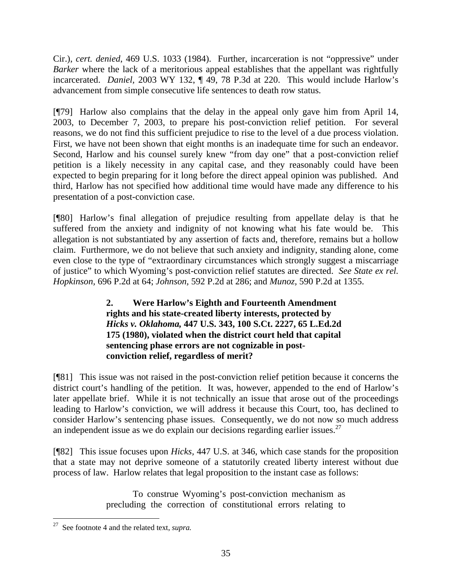Cir.), *cert. denied*, 469 U.S. 1033 (1984). Further, incarceration is not "oppressive" under *Barker* where the lack of a meritorious appeal establishes that the appellant was rightfully incarcerated. *Daniel,* 2003 WY 132, ¶ 49, 78 P.3d at 220. This would include Harlow's advancement from simple consecutive life sentences to death row status.

[¶79] Harlow also complains that the delay in the appeal only gave him from April 14, 2003, to December 7, 2003, to prepare his post-conviction relief petition. For several reasons, we do not find this sufficient prejudice to rise to the level of a due process violation. First, we have not been shown that eight months is an inadequate time for such an endeavor. Second, Harlow and his counsel surely knew "from day one" that a post-conviction relief petition is a likely necessity in any capital case, and they reasonably could have been expected to begin preparing for it long before the direct appeal opinion was published. And third, Harlow has not specified how additional time would have made any difference to his presentation of a post-conviction case.

[¶80] Harlow's final allegation of prejudice resulting from appellate delay is that he suffered from the anxiety and indignity of not knowing what his fate would be. This allegation is not substantiated by any assertion of facts and, therefore, remains but a hollow claim. Furthermore, we do not believe that such anxiety and indignity, standing alone, come even close to the type of "extraordinary circumstances which strongly suggest a miscarriage of justice" to which Wyoming's post-conviction relief statutes are directed. *See State ex rel. Hopkinson,* 696 P.2d at 64; *Johnson,* 592 P.2d at 286; and *Munoz,* 590 P.2d at 1355.

> **2. Were Harlow's Eighth and Fourteenth Amendment rights and his state-created liberty interests, protected by**  *Hicks v. Oklahoma,* **447 U.S. 343, 100 S.Ct. 2227, 65 L.Ed.2d 175 (1980), violated when the district court held that capital sentencing phase errors are not cognizable in postconviction relief, regardless of merit?**

[¶81] This issue was not raised in the post-conviction relief petition because it concerns the district court's handling of the petition. It was, however, appended to the end of Harlow's later appellate brief. While it is not technically an issue that arose out of the proceedings leading to Harlow's conviction, we will address it because this Court, too, has declined to consider Harlow's sentencing phase issues. Consequently, we do not now so much address an independent issue as we do explain our decisions regarding earlier issues.<sup>[27](#page-35-0)</sup>

[¶82] This issue focuses upon *Hicks,* 447 U.S. at 346, which case stands for the proposition that a state may not deprive someone of a statutorily created liberty interest without due process of law. Harlow relates that legal proposition to the instant case as follows:

> To construe Wyoming's post-conviction mechanism as precluding the correction of constitutional errors relating to

<span id="page-35-0"></span> $\overline{a}$ 27 See footnote 4 and the related text, *supra.*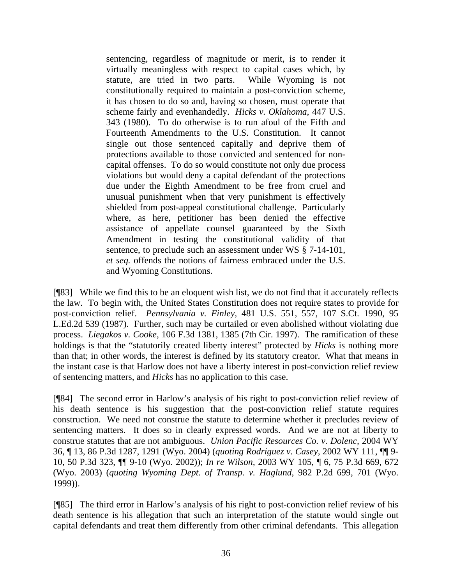sentencing, regardless of magnitude or merit, is to render it virtually meaningless with respect to capital cases which, by statute, are tried in two parts. While Wyoming is not constitutionally required to maintain a post-conviction scheme, it has chosen to do so and, having so chosen, must operate that scheme fairly and evenhandedly. *Hicks v. Oklahoma,* 447 U.S. 343 (1980). To do otherwise is to run afoul of the Fifth and Fourteenth Amendments to the U.S. Constitution. It cannot single out those sentenced capitally and deprive them of protections available to those convicted and sentenced for noncapital offenses. To do so would constitute not only due process violations but would deny a capital defendant of the protections due under the Eighth Amendment to be free from cruel and unusual punishment when that very punishment is effectively shielded from post-appeal constitutional challenge. Particularly where, as here, petitioner has been denied the effective assistance of appellate counsel guaranteed by the Sixth Amendment in testing the constitutional validity of that sentence, to preclude such an assessment under WS § 7-14-101, *et seq.* offends the notions of fairness embraced under the U.S. and Wyoming Constitutions.

[¶83] While we find this to be an eloquent wish list, we do not find that it accurately reflects the law. To begin with, the United States Constitution does not require states to provide for post-conviction relief. *Pennsylvania v. Finley,* 481 U.S. 551, 557, 107 S.Ct. 1990, 95 L.Ed.2d 539 (1987). Further, such may be curtailed or even abolished without violating due process. *Liegakos v. Cooke,* 106 F.3d 1381, 1385 (7th Cir. 1997). The ramification of these holdings is that the "statutorily created liberty interest" protected by *Hicks* is nothing more than that; in other words, the interest is defined by its statutory creator. What that means in the instant case is that Harlow does not have a liberty interest in post-conviction relief review of sentencing matters, and *Hicks* has no application to this case.

[¶84] The second error in Harlow's analysis of his right to post-conviction relief review of his death sentence is his suggestion that the post-conviction relief statute requires construction. We need not construe the statute to determine whether it precludes review of sentencing matters. It does so in clearly expressed words. And we are not at liberty to construe statutes that are not ambiguous. *Union Pacific Resources Co. v. Dolenc,* 2004 WY 36, ¶ 13, 86 P.3d 1287, 1291 (Wyo. 2004) (*quoting Rodriguez v. Casey*, 2002 WY 111, ¶¶ 9- 10, 50 P.3d 323, ¶¶ 9-10 (Wyo. 2002)); *In re Wilson,* 2003 WY 105, ¶ 6, 75 P.3d 669, 672 (Wyo. 2003) (*quoting Wyoming Dept. of Transp. v. Haglund*, 982 P.2d 699, 701 (Wyo. 1999)).

[¶85] The third error in Harlow's analysis of his right to post-conviction relief review of his death sentence is his allegation that such an interpretation of the statute would single out capital defendants and treat them differently from other criminal defendants. This allegation